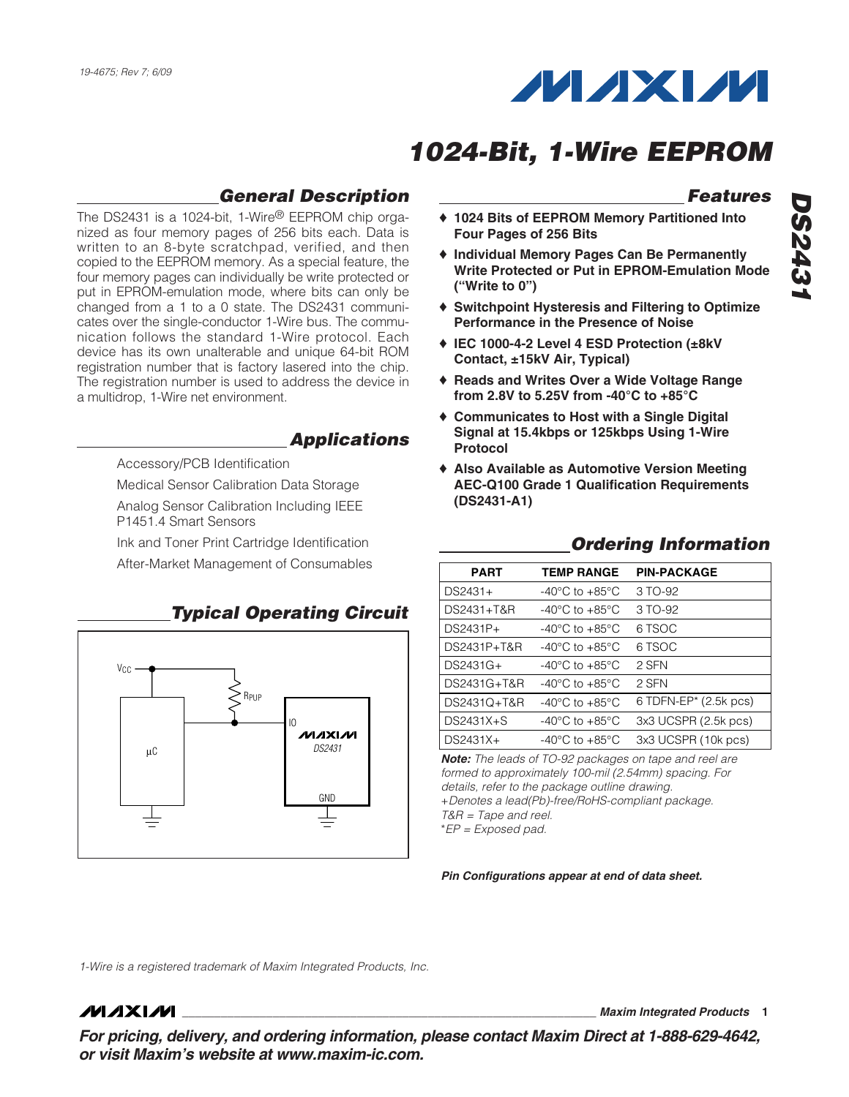

## **General Description**

The DS2431 is a 1024-bit, 1-Wire® EEPROM chip organized as four memory pages of 256 bits each. Data is written to an 8-byte scratchpad, verified, and then copied to the EEPROM memory. As a special feature, the four memory pages can individually be write protected or put in EPROM-emulation mode, where bits can only be changed from a 1 to a 0 state. The DS2431 communicates over the single-conductor 1-Wire bus. The communication follows the standard 1-Wire protocol. Each device has its own unalterable and unique 64-bit ROM registration number that is factory lasered into the chip. The registration number is used to address the device in a multidrop, 1-Wire net environment.

### **Applications**

Accessory/PCB Identification

Medical Sensor Calibration Data Storage

Analog Sensor Calibration Including IEEE P1451.4 Smart Sensors

Ink and Toner Print Cartridge Identification

After-Market Management of Consumables



### **Typical Operating Circuit**

## **Features**

- ♦ **1024 Bits of EEPROM Memory Partitioned Into Four Pages of 256 Bits**
- ♦ **Individual Memory Pages Can Be Permanently Write Protected or Put in EPROM-Emulation Mode ("Write to 0")**
- ♦ **Switchpoint Hysteresis and Filtering to Optimize Performance in the Presence of Noise**
- ♦ **IEC 1000-4-2 Level 4 ESD Protection (±8kV Contact, ±15kV Air, Typical)**
- ♦ **Reads and Writes Over a Wide Voltage Range from 2.8V to 5.25V from -40°C to +85°C**
- ♦ **Communicates to Host with a Single Digital Signal at 15.4kbps or 125kbps Using 1-Wire Protocol**
- ♦ **Also Available as Automotive Version Meeting AEC-Q100 Grade 1 Qualification Requirements (DS2431-A1)**

**Ordering Information**

### **PART TEMP RANGE PIN-PACKAGE**   $DS2431+ -40^{\circ}C$  to  $+85^{\circ}C$  3 TO-92 DS2431+T&R -40°C to +85°C 3 TO-92  $DS2431P+ -40°C$  to  $+85°C$  6 TSOC DS2431P+T&R -40°C to +85°C 6 TSOC DS2431G+ -40°C to +85°C 2 SFN DS2431G+T&R -40°C to +85°C 2 SFN DS2431Q+T&R -40°C to +85°C 6 TDFN-EP\* (2.5k pcs) DS2431X+S -40°C to +85°C 3x3 UCSPR (2.5k pcs)  $DS2431X+ -40^{\circ}C$  to  $+85^{\circ}C$  3x3 UCSPR (10k pcs)

**Note:** The leads of TO-92 packages on tape and reel are formed to approximately 100-mil (2.54mm) spacing. For details, refer to the package outline drawing. +Denotes a lead(Pb)-free/RoHS-compliant package. T&R = Tape and reel.

\*EP = Exposed pad.

**Pin Configurations appear at end of data sheet.**

1-Wire is a registered trademark of Maxim Integrated Products, Inc.

### **MAXM**

**\_\_\_\_\_\_\_\_\_\_\_\_\_\_\_\_\_\_\_\_\_\_\_\_\_\_\_\_\_\_\_\_\_\_\_\_\_\_\_\_\_\_\_\_\_\_\_\_\_\_\_\_\_\_\_\_\_\_\_\_\_\_\_\_ Maxim Integrated Products 1**

**For pricing, delivery, and ordering information, please contact Maxim Direct at 1-888-629-4642, or visit Maxim's website at www.maxim-ic.com.**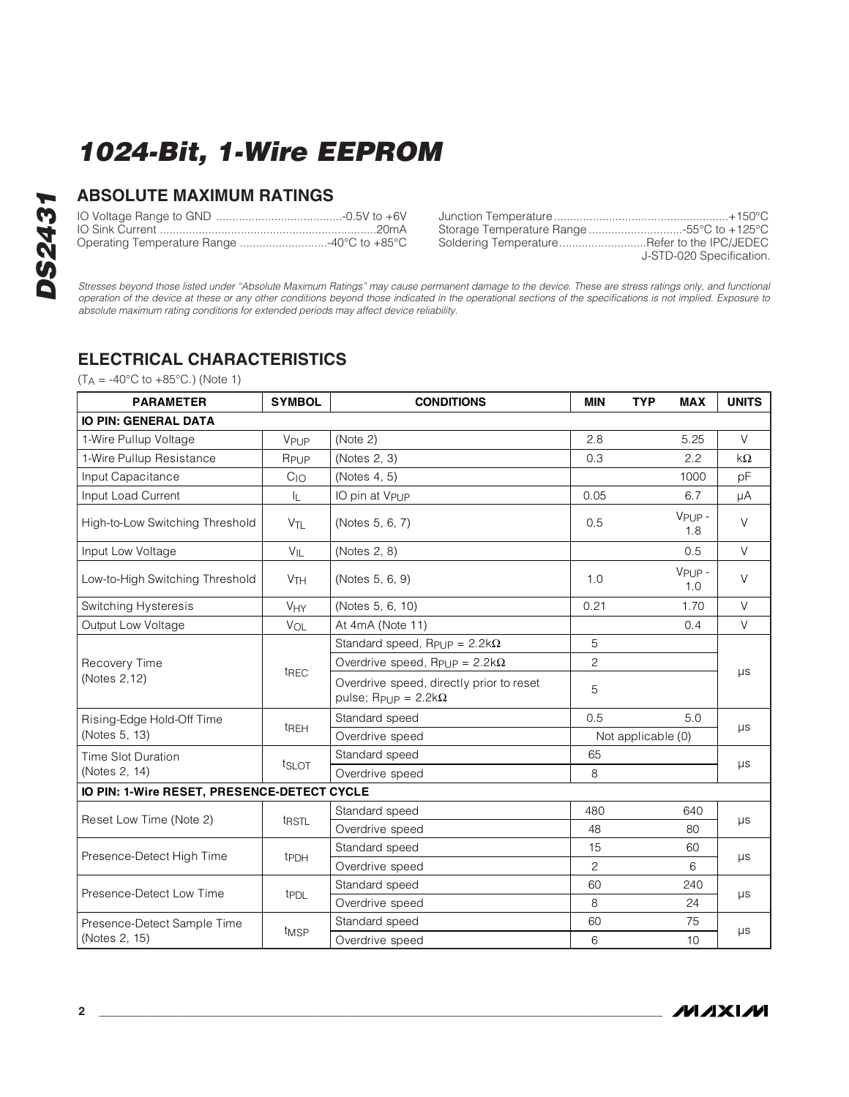### **ABSOLUTE MAXIMUM RATINGS**

|  | Junction Temperature    |
|--|-------------------------|
|  | Storage Temperature Ran |
|  | Soldering Temperature   |

Junction Temperature......................................................+150°C Storage Temperature Range .............................-55°C to +125°C The IPC/JEDEC J-STD-020 Specification.

Stresses beyond those listed under "Absolute Maximum Ratings" may cause permanent damage to the device. These are stress ratings only, and functional operation of the device at these or any other conditions beyond those indicated in the operational sections of the specifications is not implied. Exposure to absolute maximum rating conditions for extended periods may affect device reliability.

### **ELECTRICAL CHARACTERISTICS**

 $(T_A = -40^{\circ}C \text{ to } +85^{\circ}C)$  (Note 1)

| <b>PARAMETER</b>                            | <b>SYMBOL</b>         | <b>CONDITIONS</b>                                                                  | <b>MIN</b>         | <b>TYP</b> | <b>MAX</b>   | <b>UNITS</b> |  |
|---------------------------------------------|-----------------------|------------------------------------------------------------------------------------|--------------------|------------|--------------|--------------|--|
| <b>IO PIN: GENERAL DATA</b>                 |                       |                                                                                    |                    |            |              |              |  |
| 1-Wire Pullup Voltage                       | VPUP                  | (Note 2)                                                                           | 2.8                |            | 5.25         | $\vee$       |  |
| 1-Wire Pullup Resistance                    | RPUP                  | (Notes 2, 3)                                                                       | 0.3                |            | 2.2          | $k\Omega$    |  |
| Input Capacitance                           | $C_{1O}$              | (Notes 4, 5)                                                                       |                    |            | 1000         | pF           |  |
| Input Load Current                          | IL.                   | IO pin at V <sub>PUP</sub>                                                         | 0.05               |            | 6.7          | μA           |  |
| High-to-Low Switching Threshold             | $V_{\text{TL}}$       | (Notes 5, 6, 7)                                                                    | 0.5                |            | VPUP-<br>1.8 | $\vee$       |  |
| Input Low Voltage                           | $V_{IL}$              | (Notes 2, 8)                                                                       |                    |            | 0.5          | $\vee$       |  |
| Low-to-High Switching Threshold             | <b>V<sub>TH</sub></b> | (Notes 5, 6, 9)                                                                    | 1.0                |            | VPUP-<br>1.0 | $\vee$       |  |
| Switching Hysteresis                        | <b>V<sub>HY</sub></b> | (Notes 5, 6, 10)                                                                   | 0.21               |            | 1.70         | $\vee$       |  |
| Output Low Voltage                          | VOL                   | At 4mA (Note 11)                                                                   |                    |            | 0.4          | $\vee$       |  |
| Recovery Time<br>(Notes 2,12)               |                       | Standard speed, Rpup = $2.2$ k $\Omega$                                            | 5                  |            |              |              |  |
|                                             | t <sub>REC</sub>      | Overdrive speed, $R_{\text{Pl}}$ $p = 2.2k\Omega$                                  | $\overline{c}$     |            |              |              |  |
|                                             |                       | Overdrive speed, directly prior to reset<br>pulse; R <sub>PUP</sub> = $2.2k\Omega$ | 5                  |            |              | $\mu s$      |  |
| Rising-Edge Hold-Off Time                   |                       | Standard speed                                                                     | 0.5<br>5.0         |            |              |              |  |
| (Notes 5, 13)                               | t <sub>REH</sub>      | Overdrive speed                                                                    | Not applicable (0) |            |              | $\mu s$      |  |
| Time Slot Duration                          |                       | Standard speed                                                                     | 65                 |            | $\mu s$      |              |  |
| (Notes 2, 14)                               | t <sub>SLOT</sub>     | Overdrive speed                                                                    | 8                  |            |              |              |  |
| IO PIN: 1-Wire RESET, PRESENCE-DETECT CYCLE |                       |                                                                                    |                    |            |              |              |  |
| Reset Low Time (Note 2)                     |                       | Standard speed                                                                     | 480                | 640        |              |              |  |
|                                             | t <sub>RSTL</sub>     | Overdrive speed                                                                    | 48                 |            | 80           | $\mu s$      |  |
| Presence-Detect High Time                   | t <sub>PDH</sub>      | Standard speed                                                                     | 15                 |            | 60           | $\mu s$      |  |
|                                             |                       | Overdrive speed                                                                    | $\overline{2}$     |            | 6            |              |  |
| Presence-Detect Low Time                    | t <sub>PDL</sub>      | Standard speed                                                                     | 60                 |            | 240          |              |  |
|                                             |                       | Overdrive speed                                                                    | 8                  |            | 24           | μs           |  |
| Presence-Detect Sample Time                 | t <sub>MSP</sub>      | Standard speed                                                                     | 60                 |            | 75           | $\mu s$      |  |
| (Notes 2, 15)                               |                       | Overdrive speed                                                                    | 6                  |            | 10           |              |  |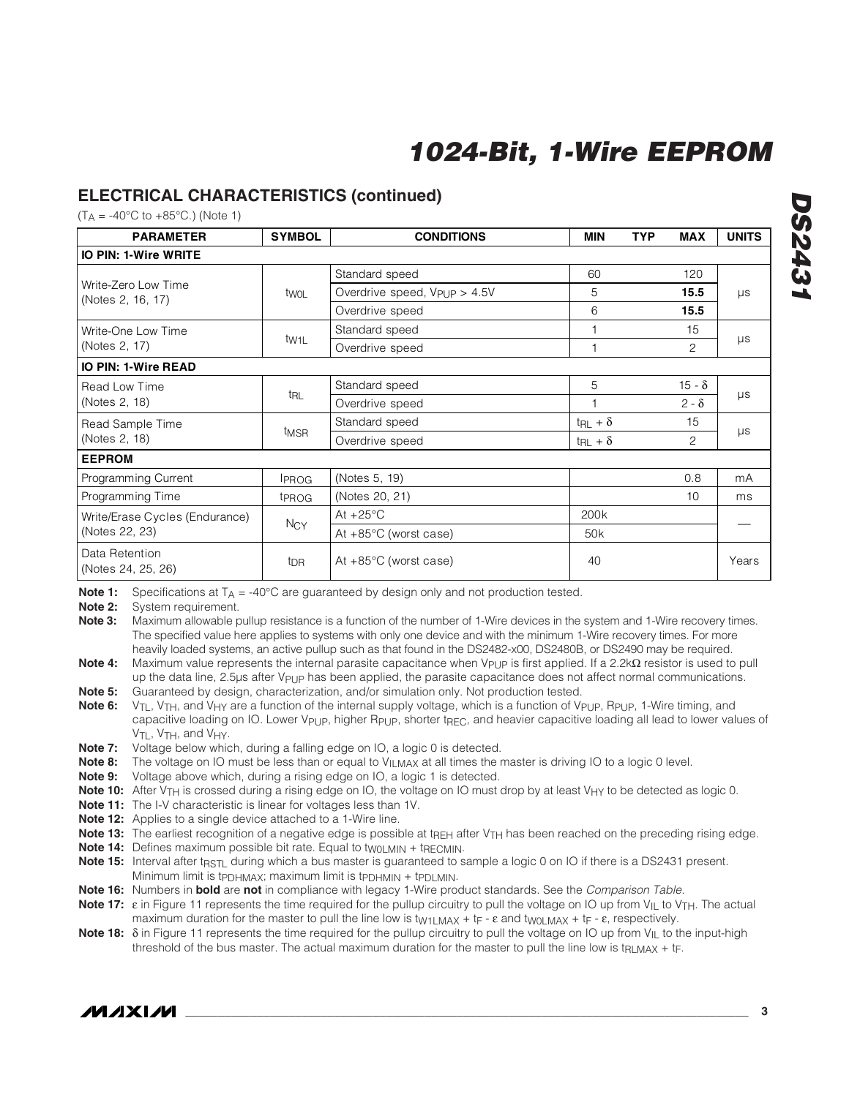### **ELECTRICAL CHARACTERISTICS (continued)**

 $(T_A = -40^{\circ}C \text{ to } +85^{\circ}C)$  (Note 1)

| <b>PARAMETER</b>                         | <b>SYMBOL</b>     | <b>CONDITIONS</b>                        | <b>MIN</b>               | <b>TYP</b>    | <b>MAX</b>     | <b>UNITS</b> |  |
|------------------------------------------|-------------------|------------------------------------------|--------------------------|---------------|----------------|--------------|--|
| <b>IO PIN: 1-Wire WRITE</b>              |                   |                                          |                          |               |                |              |  |
|                                          |                   | Standard speed                           | 60                       |               | 120            |              |  |
| Write-Zero Low Time<br>(Notes 2, 16, 17) | twoL              | Overdrive speed, V <sub>PUP</sub> > 4.5V | 5                        |               | 15.5           | $\mu s$      |  |
|                                          |                   | Overdrive speed                          | 6                        |               | 15.5           |              |  |
| Write-One Low Time                       |                   | Standard speed                           | 1                        |               | 15             |              |  |
| (Notes 2, 17)                            | tw <sub>1L</sub>  | Overdrive speed                          | $\mathbf{1}$             |               | $\overline{2}$ | $\mu s$      |  |
| <b>IO PIN: 1-Wire READ</b>               |                   |                                          |                          |               |                |              |  |
| Read Low Time                            |                   | Standard speed                           | 5                        | $15 - \delta$ |                |              |  |
| (Notes 2, 18)                            | t <sub>RL</sub>   | Overdrive speed                          | 1                        |               | $2 - \delta$   | $\mu s$      |  |
| Read Sample Time                         |                   | Standard speed                           | $t_{\text{RL}} + \delta$ |               | 15             | $\mu s$      |  |
| (Notes 2, 18)                            | t <sub>MSR</sub>  | Overdrive speed                          | $t_{\text{RL}} + \delta$ |               | 2              |              |  |
| <b>EEPROM</b>                            |                   |                                          |                          |               |                |              |  |
| Programming Current                      | <b>IPROG</b>      | (Notes 5, 19)                            |                          |               | 0.8            | mA           |  |
| Programming Time                         | t <sub>PROG</sub> | (Notes 20, 21)                           |                          |               | 10             | ms           |  |
| Write/Erase Cycles (Endurance)           |                   | At $+25^{\circ}$ C                       | 200 <sub>k</sub>         |               |                |              |  |
| (Notes 22, 23)                           | $N_{CY}$          | At $+85^{\circ}$ C (worst case)          | 50 <sub>k</sub>          |               |                |              |  |
| Data Retention<br>(Notes 24, 25, 26)     | t <sub>DR</sub>   | At $+85^{\circ}$ C (worst case)          | 40                       |               |                | Years        |  |

**Note 1:** Specifications at  $T_A = -40^\circ \text{C}$  are guaranteed by design only and not production tested.<br>**Note 2:** System requirement.

System requirement.

**Note 3:** Maximum allowable pullup resistance is a function of the number of 1-Wire devices in the system and 1-Wire recovery times. The specified value here applies to systems with only one device and with the minimum 1-Wire recovery times. For more heavily loaded systems, an active pullup such as that found in the DS2482-x00, DS2480B, or DS2490 may be required.

Note 4: Maximum value represents the internal parasite capacitance when V<sub>PUP</sub> is first applied. If a 2.2kΩ resistor is used to pull up the data line, 2.5µs after VPUP has been applied, the parasite capacitance does not affect normal communications.

**Note 5:** Guaranteed by design, characterization, and/or simulation only. Not production tested.

**Note 6:** V<sub>TL</sub>, V<sub>TH</sub>, and V<sub>HY</sub> are a function of the internal supply voltage, which is a function of V<sub>PUP</sub>, R<sub>PUP</sub>, 1-Wire timing, and capacitive loading on IO. Lower V<sub>PUP</sub>, higher R<sub>PUP</sub>, shorter t<sub>RFC</sub>, and heavier capacitive loading all lead to lower values of V<sub>TL</sub>, V<sub>TH</sub>, and V<sub>HY</sub>.

**Note 7:** Voltage below which, during a falling edge on IO, a logic 0 is detected.

**Note 8:** The voltage on IO must be less than or equal to V<sub>ILMAX</sub> at all times the master is driving IO to a logic 0 level.

**Note 9:** Voltage above which, during a rising edge on IO, a logic 1 is detected.

**Note 10:** After V<sub>TH</sub> is crossed during a rising edge on IO, the voltage on IO must drop by at least V<sub>HY</sub> to be detected as logic 0.

**Note 11:** The I-V characteristic is linear for voltages less than 1V.

**Note 12:** Applies to a single device attached to a 1-Wire line.

**Note 13:** The earliest recognition of a negative edge is possible at t<sub>REH</sub> after V<sub>TH</sub> has been reached on the preceding rising edge.

**Note 14:** Defines maximum possible bit rate. Equal to two LMIN + tRECMIN.

**Note 15:** Interval after t<sub>RSTL</sub> during which a bus master is guaranteed to sample a logic 0 on IO if there is a DS2431 present. Minimum limit is tppHMAX; maximum limit is tppHMIN + tppLMIN.

**Note 16:** Numbers in **bold** are **not** in compliance with legacy 1-Wire product standards. See the Comparison Table.

**Note 17:** ε in Figure 11 represents the time required for the pullup circuitry to pull the voltage on IO up from V<sub>IL</sub> to V<sub>TH</sub>. The actual maximum duration for the master to pull the line low is t<sub>W1LMAX</sub> + t<sub>F</sub> - ε and two<sub>LMAX</sub> + t<sub>F</sub> - ε, respectively.

**Note 18:** δ in Figure 11 represents the time required for the pullup circuitry to pull the voltage on IO up from V<sub>IL</sub> to the input-high threshold of the bus master. The actual maximum duration for the master to pull the line low is t<sub>RLMAX</sub> + t<sub>F</sub>.

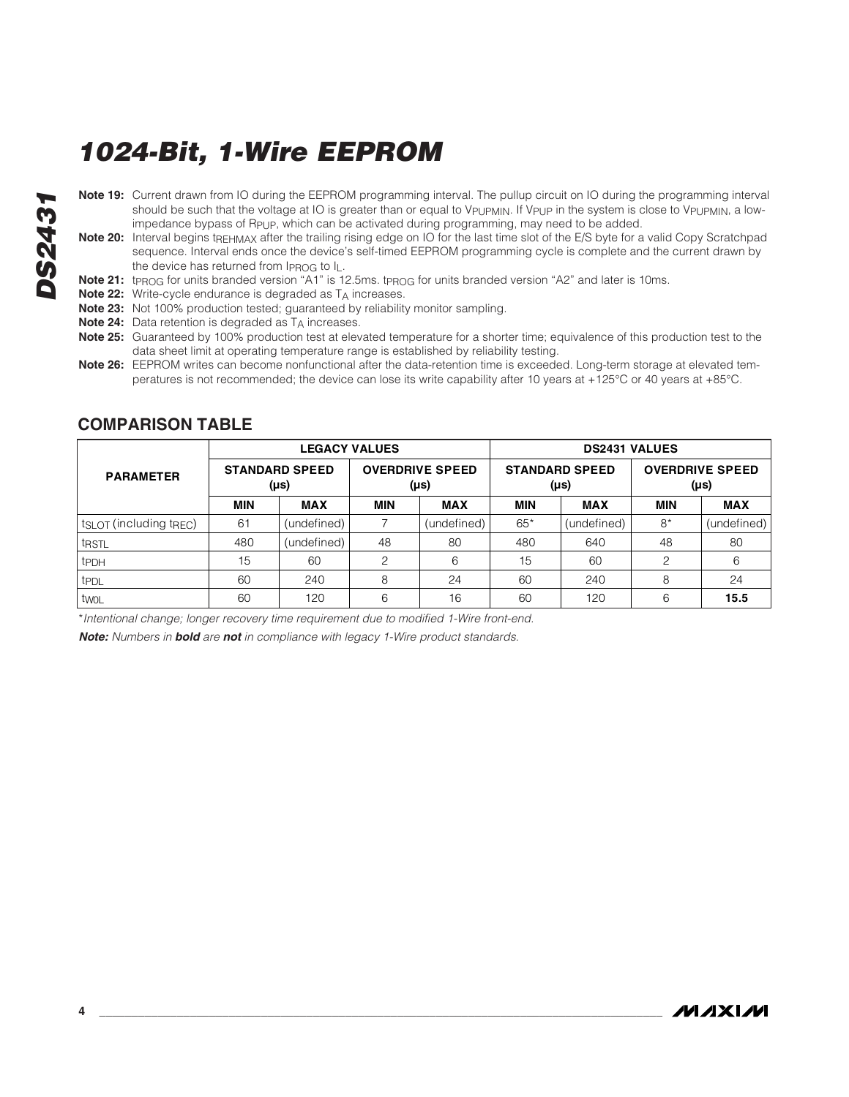- **DS2431 DS2431**
	- **Note 19:** Current drawn from IO during the EEPROM programming interval. The pullup circuit on IO during the programming interval should be such that the voltage at IO is greater than or equal to V<sub>PUPMIN</sub>. If V<sub>PUP</sub> in the system is close to V<sub>PUPMIN</sub>, a lowimpedance bypass of R<sub>PUP</sub>, which can be activated during programming, may need to be added.
	- **Note 20:** Interval begins tREHMAX after the trailing rising edge on IO for the last time slot of the E/S byte for a valid Copy Scratchpad sequence. Interval ends once the device's self-timed EEPROM programming cycle is complete and the current drawn by the device has returned from I<sub>PROG</sub> to I<sub>L</sub>.
	- Note 21: t<sub>PROG</sub> for units branded version "A1" is 12.5ms. t<sub>PROG</sub> for units branded version "A2" and later is 10ms.
	- **Note 22:** Write-cycle endurance is degraded as TA increases.
	- **Note 23:** Not 100% production tested; guaranteed by reliability monitor sampling.
	- **Note 24:** Data retention is degraded as T<sub>A</sub> increases.
	- **Note 25:** Guaranteed by 100% production test at elevated temperature for a shorter time; equivalence of this production test to the data sheet limit at operating temperature range is established by reliability testing.
	- **Note 26:** EEPROM writes can become nonfunctional after the data-retention time is exceeded. Long-term storage at elevated temperatures is not recommended; the device can lose its write capability after 10 years at +125°C or 40 years at +85°C.

|                                                 |                               | <b>LEGACY VALUES</b> |            |                                     | <b>DS2431 VALUES</b> |                               |            |                                     |
|-------------------------------------------------|-------------------------------|----------------------|------------|-------------------------------------|----------------------|-------------------------------|------------|-------------------------------------|
| <b>PARAMETER</b>                                | <b>STANDARD SPEED</b><br>(µs) |                      |            | <b>OVERDRIVE SPEED</b><br>$(\mu s)$ |                      | <b>STANDARD SPEED</b><br>(µs) |            | <b>OVERDRIVE SPEED</b><br>$(\mu s)$ |
|                                                 | <b>MIN</b>                    | <b>MAX</b>           | <b>MIN</b> | <b>MAX</b>                          | <b>MIN</b>           | <b>MAX</b>                    | <b>MIN</b> | <b>MAX</b>                          |
| t <sub>SLOT</sub> (including t <sub>REC</sub> ) | 61                            | (undefined)          |            | (undefined)                         | $65*$                | (undefined)                   | $8*$       | (undefined)                         |
| t <sub>RSTL</sub>                               | 480                           | (undefined)          | 48         | 80                                  | 480                  | 640                           | 48         | 80                                  |
| t <sub>PDH</sub>                                | 15                            | 60                   | っ          | 6                                   | 15                   | 60                            | 2          | 6                                   |
| t <sub>PDL</sub>                                | 60                            | 240                  | 8          | 24                                  | 60                   | 240                           | 8          | 24                                  |
| twol                                            | 60                            | 120                  | 6          | 16                                  | 60                   | 120                           | 6          | 15.5                                |

### **COMPARISON TABLE**

\*Intentional change; longer recovery time requirement due to modified 1-Wire front-end.

**Note:** Numbers in **bold** are **not** in compliance with legacy 1-Wire product standards.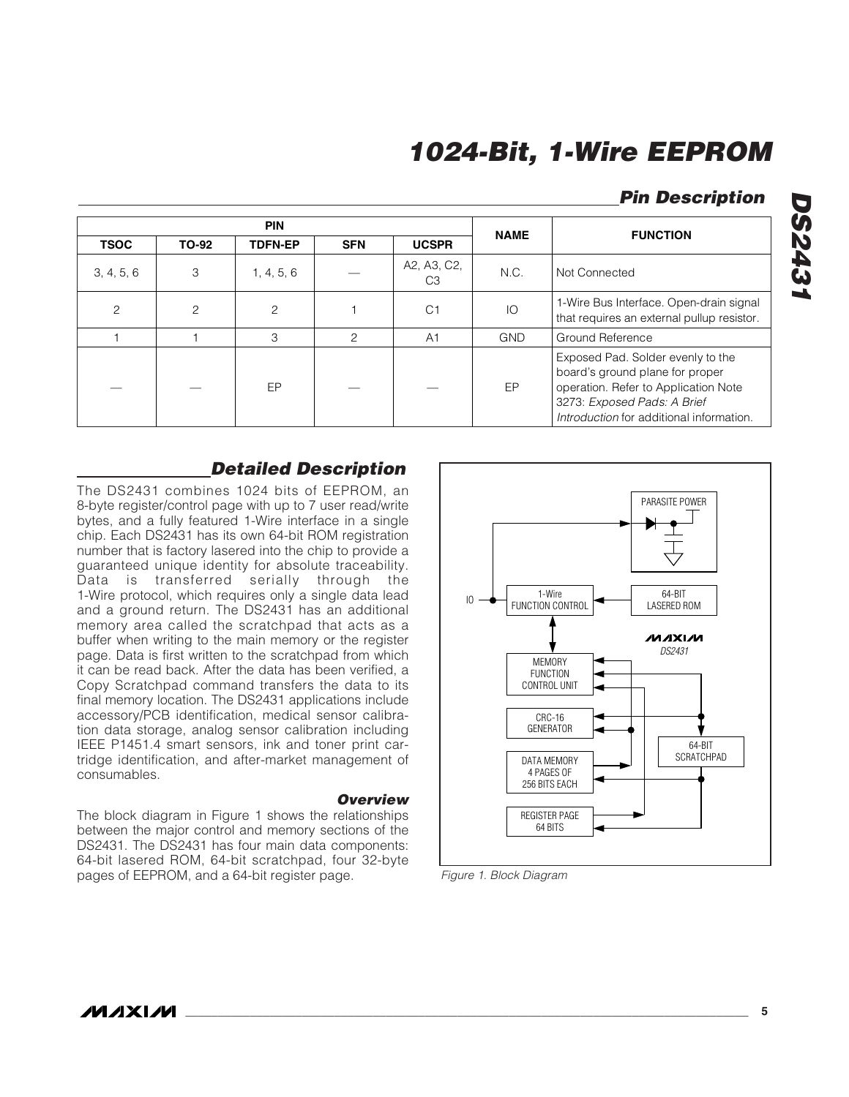### **Pin Description**

|                |              | <b>PIN</b>     | <b>NAME</b>   | <b>FUNCTION</b>               |            |                                                                                                                                                                                         |
|----------------|--------------|----------------|---------------|-------------------------------|------------|-----------------------------------------------------------------------------------------------------------------------------------------------------------------------------------------|
| <b>TSOC</b>    | <b>TO-92</b> | <b>TDFN-EP</b> | <b>SFN</b>    | <b>UCSPR</b>                  |            |                                                                                                                                                                                         |
| 3, 4, 5, 6     | 3            | 1, 4, 5, 6     |               | A2, A3, C2,<br>C <sub>3</sub> | N.C.       | Not Connected                                                                                                                                                                           |
| $\overline{c}$ | 2            | 2              |               | C <sub>1</sub>                | IO         | 1-Wire Bus Interface. Open-drain signal<br>that requires an external pullup resistor.                                                                                                   |
|                |              | 3              | $\mathcal{P}$ | A <sub>1</sub>                | <b>GND</b> | Ground Reference                                                                                                                                                                        |
|                |              | EP             |               |                               | EP         | Exposed Pad. Solder evenly to the<br>board's ground plane for proper<br>operation. Refer to Application Note<br>3273: Exposed Pads: A Brief<br>Introduction for additional information. |

#### **Detailed Description**

The DS2431 combines 1024 bits of EEPROM, an 8-byte register/control page with up to 7 user read/write bytes, and a fully featured 1-Wire interface in a single chip. Each DS2431 has its own 64-bit ROM registration number that is factory lasered into the chip to provide a guaranteed unique identity for absolute traceability. Data is transferred serially through the 1-Wire protocol, which requires only a single data lead and a ground return. The DS2431 has an additional memory area called the scratchpad that acts as a buffer when writing to the main memory or the register page. Data is first written to the scratchpad from which it can be read back. After the data has been verified, a Copy Scratchpad command transfers the data to its final memory location. The DS2431 applications include accessory/PCB identification, medical sensor calibration data storage, analog sensor calibration including IEEE P1451.4 smart sensors, ink and toner print cartridge identification, and after-market management of consumables.

#### **Overview**

The block diagram in Figure 1 shows the relationships between the major control and memory sections of the DS2431. The DS2431 has four main data components: 64-bit lasered ROM, 64-bit scratchpad, four 32-byte pages of EEPROM, and a 64-bit register page.



Figure 1. Block Diagram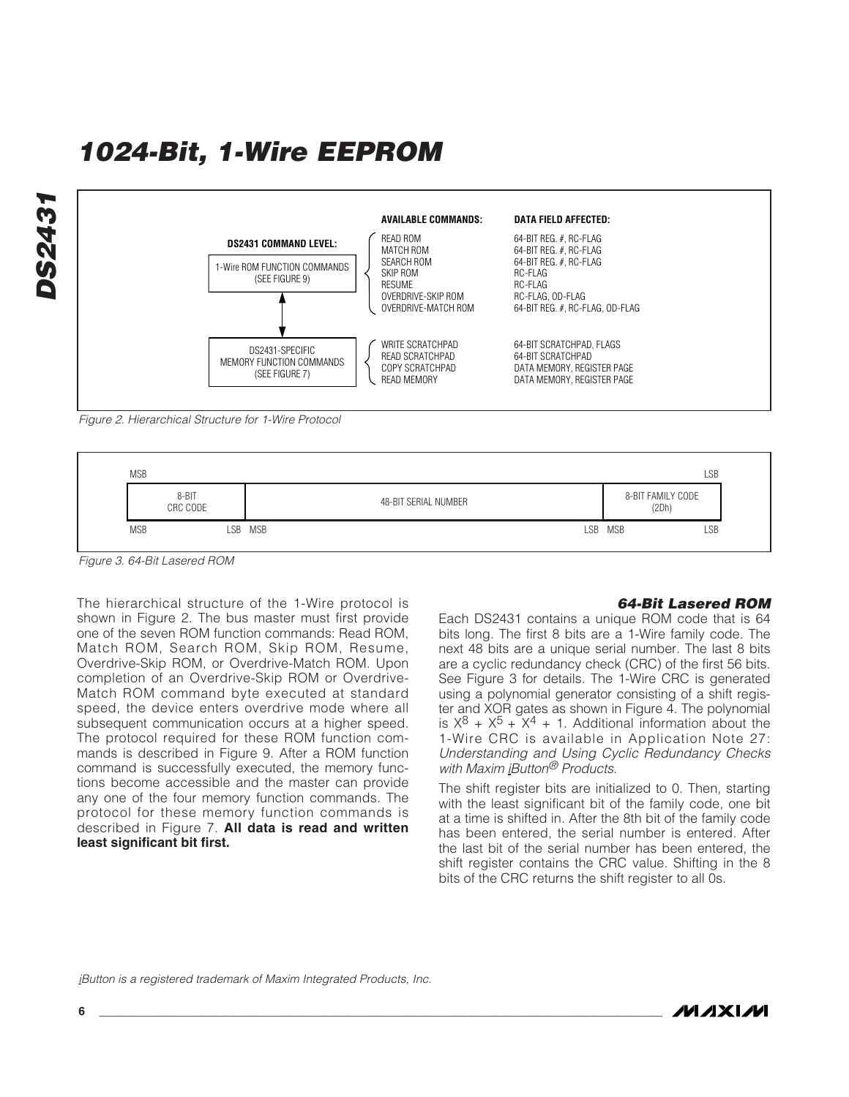

Figure 2. Hierarchical Structure for 1-Wire Protocol



Figure 3. 64-Bit Lasered ROM

The hierarchical structure of the 1-Wire protocol is shown in Figure 2. The bus master must first provide one of the seven ROM function commands: Read ROM, Match ROM, Search ROM, Skip ROM, Resume, Overdrive-Skip ROM, or Overdrive-Match ROM. Upon completion of an Overdrive-Skip ROM or Overdrive-Match ROM command byte executed at standard speed, the device enters overdrive mode where all subsequent communication occurs at a higher speed. The protocol required for these ROM function commands is described in Figure 9. After a ROM function command is successfully executed, the memory functions become accessible and the master can provide any one of the four memory function commands. The protocol for these memory function commands is described in Figure 7. **All data is read and written least significant bit first.**

#### **64-Bit Lasered ROM**

Each DS2431 contains a unique ROM code that is 64 bits long. The first 8 bits are a 1-Wire family code. The next 48 bits are a unique serial number. The last 8 bits are a cyclic redundancy check (CRC) of the first 56 bits. See Figure 3 for details. The 1-Wire CRC is generated using a polynomial generator consisting of a shift register and XOR gates as shown in Figure 4. The polynomial is  $X^8 + X^5 + X^4 + 1$ . Additional information about the 1-Wire CRC is available in Application Note 27: Understanding and Using Cyclic Redundancy Checks with Maxim iButton<sup>®</sup> Products.

The shift register bits are initialized to 0. Then, starting with the least significant bit of the family code, one bit at a time is shifted in. After the 8th bit of the family code has been entered, the serial number is entered. After the last bit of the serial number has been entered, the shift register contains the CRC value. Shifting in the 8 bits of the CRC returns the shift register to all 0s.

iButton is a registered trademark of Maxim Integrated Products, Inc.

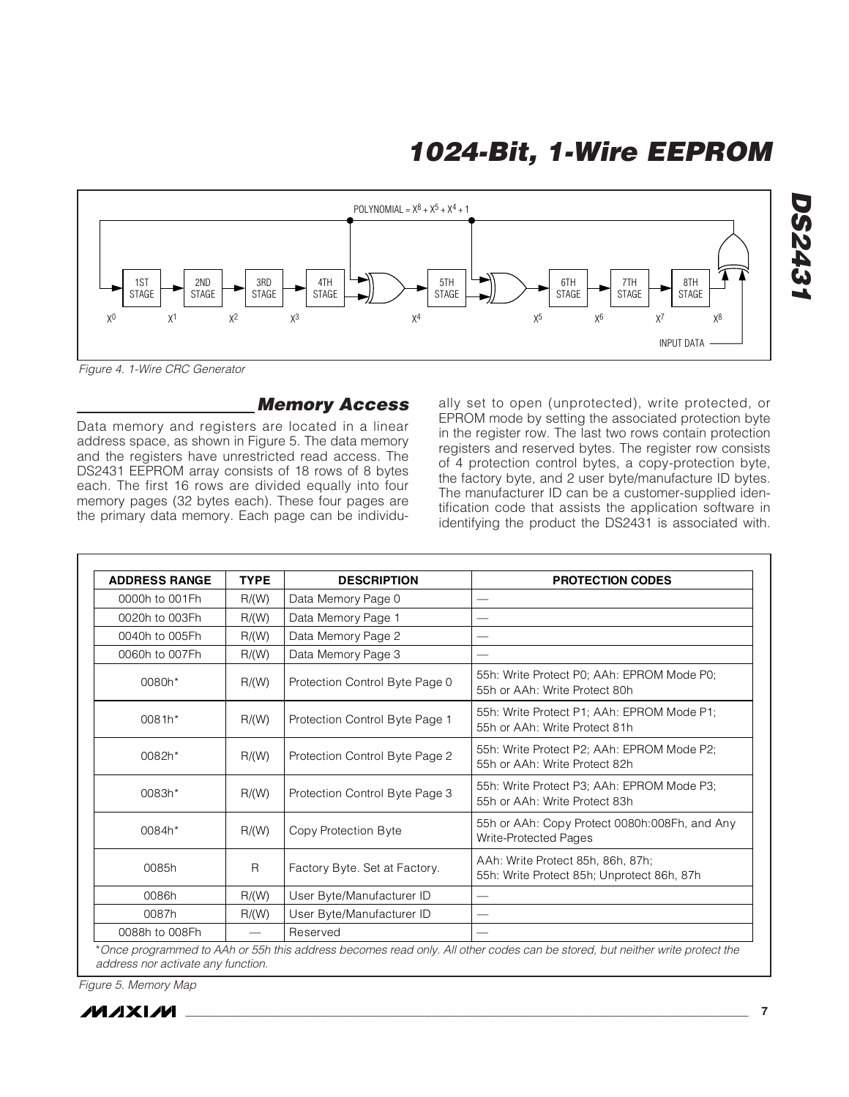

Figure 4. 1-Wire CRC Generator

#### **Memory Access**

Data memory and registers are located in a linear address space, as shown in Figure 5. The data memory and the registers have unrestricted read access. The DS2431 EEPROM array consists of 18 rows of 8 bytes each. The first 16 rows are divided equally into four memory pages (32 bytes each). These four pages are the primary data memory. Each page can be individually set to open (unprotected), write protected, or EPROM mode by setting the associated protection byte in the register row. The last two rows contain protection registers and reserved bytes. The register row consists of 4 protection control bytes, a copy-protection byte, the factory byte, and 2 user byte/manufacture ID bytes. The manufacturer ID can be a customer-supplied identification code that assists the application software in identifying the product the DS2431 is associated with.

| <b>ADDRESS RANGE</b> | <b>TYPE</b>                   | <b>DESCRIPTION</b>             | <b>PROTECTION CODES</b>                                                         |
|----------------------|-------------------------------|--------------------------------|---------------------------------------------------------------------------------|
| 0000h to 001Fh       | R/(W)                         | Data Memory Page 0             |                                                                                 |
| 0020h to 003Fh       | R/(W)                         | Data Memory Page 1             |                                                                                 |
| 0040h to 005Fh       | R/(W)                         | Data Memory Page 2             |                                                                                 |
| 0060h to 007Fh       | R/(W)                         | Data Memory Page 3             |                                                                                 |
| 0080h*               | R/(W)                         | Protection Control Byte Page 0 | 55h: Write Protect P0; AAh: EPROM Mode P0;<br>55h or AAh: Write Protect 80h     |
| 0081h*               | R/(W)                         | Protection Control Byte Page 1 | 55h: Write Protect P1; AAh: EPROM Mode P1;<br>55h or AAh: Write Protect 81h     |
| 0082h*               | R/(W)                         | Protection Control Byte Page 2 | 55h: Write Protect P2; AAh: EPROM Mode P2;<br>55h or AAh: Write Protect 82h     |
| 0083h*               | R/(W)                         | Protection Control Byte Page 3 | 55h: Write Protect P3; AAh: EPROM Mode P3;<br>55h or AAh: Write Protect 83h     |
| 0084h*               | R/(W)                         | Copy Protection Byte           | 55h or AAh: Copy Protect 0080h:008Fh, and Any<br>Write-Protected Pages          |
| 0085h                | R                             | Factory Byte. Set at Factory.  | AAh: Write Protect 85h, 86h, 87h;<br>55h: Write Protect 85h; Unprotect 86h, 87h |
| 0086h                | R/(W)                         | User Byte/Manufacturer ID      |                                                                                 |
| 0087h                | R/(W)                         | User Byte/Manufacturer ID      |                                                                                 |
| 0088h to 008Fh       | $\overbrace{\phantom{12332}}$ | Reserved                       |                                                                                 |

address nor activate any function.

Figure 5. Memory Map



**DS2431**

**DS2431**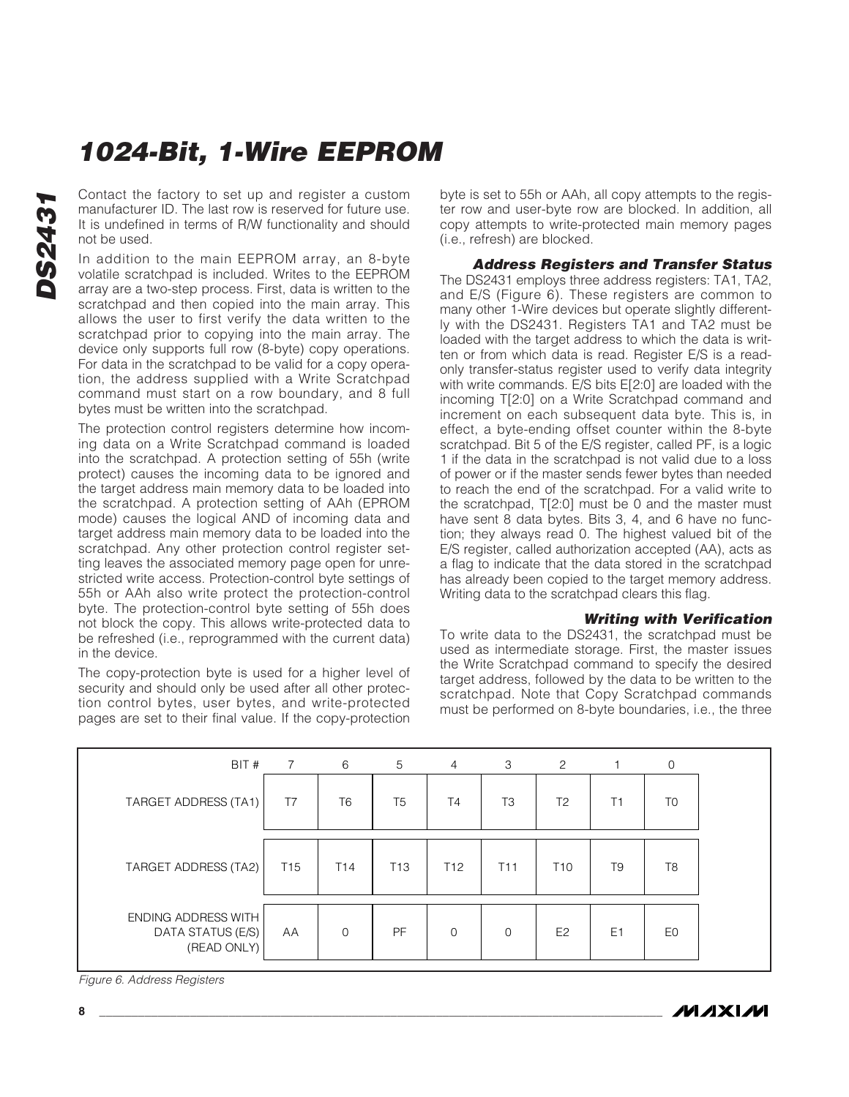**DS2431 DS243** 

Contact the factory to set up and register a custom manufacturer ID. The last row is reserved for future use. It is undefined in terms of R/W functionality and should not be used.

In addition to the main EEPROM array, an 8-byte volatile scratchpad is included. Writes to the EEPROM array are a two-step process. First, data is written to the scratchpad and then copied into the main array. This allows the user to first verify the data written to the scratchpad prior to copying into the main array. The device only supports full row (8-byte) copy operations. For data in the scratchpad to be valid for a copy operation, the address supplied with a Write Scratchpad command must start on a row boundary, and 8 full bytes must be written into the scratchpad.

The protection control registers determine how incoming data on a Write Scratchpad command is loaded into the scratchpad. A protection setting of 55h (write protect) causes the incoming data to be ignored and the target address main memory data to be loaded into the scratchpad. A protection setting of AAh (EPROM mode) causes the logical AND of incoming data and target address main memory data to be loaded into the scratchpad. Any other protection control register setting leaves the associated memory page open for unrestricted write access. Protection-control byte settings of 55h or AAh also write protect the protection-control byte. The protection-control byte setting of 55h does not block the copy. This allows write-protected data to be refreshed (i.e., reprogrammed with the current data) in the device.

The copy-protection byte is used for a higher level of security and should only be used after all other protection control bytes, user bytes, and write-protected pages are set to their final value. If the copy-protection

byte is set to 55h or AAh, all copy attempts to the register row and user-byte row are blocked. In addition, all copy attempts to write-protected main memory pages (i.e., refresh) are blocked.

**Address Registers and Transfer Status** The DS2431 employs three address registers: TA1, TA2, and E/S (Figure 6). These registers are common to many other 1-Wire devices but operate slightly differently with the DS2431. Registers TA1 and TA2 must be loaded with the target address to which the data is written or from which data is read. Register E/S is a readonly transfer-status register used to verify data integrity with write commands. E/S bits E[2:0] are loaded with the incoming T[2:0] on a Write Scratchpad command and increment on each subsequent data byte. This is, in effect, a byte-ending offset counter within the 8-byte scratchpad. Bit 5 of the E/S register, called PF, is a logic 1 if the data in the scratchpad is not valid due to a loss of power or if the master sends fewer bytes than needed to reach the end of the scratchpad. For a valid write to the scratchpad, T[2:0] must be 0 and the master must have sent 8 data bytes. Bits 3, 4, and 6 have no function; they always read 0. The highest valued bit of the E/S register, called authorization accepted (AA), acts as a flag to indicate that the data stored in the scratchpad has already been copied to the target memory address. Writing data to the scratchpad clears this flag.

#### **Writing with Verification**

*IVI A* XI*IV*I

To write data to the DS2431, the scratchpad must be used as intermediate storage. First, the master issues the Write Scratchpad command to specify the desired target address, followed by the data to be written to the scratchpad. Note that Copy Scratchpad commands must be performed on 8-byte boundaries, i.e., the three

| BIT #                                                   | $7\overline{ }$ | 6               | 5               | $\overline{4}$  | 3               | 2               |                | 0              |  |
|---------------------------------------------------------|-----------------|-----------------|-----------------|-----------------|-----------------|-----------------|----------------|----------------|--|
| TARGET ADDRESS (TA1)                                    | T7              | T <sub>6</sub>  | T <sub>5</sub>  | T <sub>4</sub>  | T <sub>3</sub>  | T <sub>2</sub>  | Τ1             | T <sub>0</sub> |  |
| TARGET ADDRESS (TA2)                                    | T <sub>15</sub> | T <sub>14</sub> | T <sub>13</sub> | T <sub>12</sub> | T <sub>11</sub> | T <sub>10</sub> | T9             | T <sub>8</sub> |  |
| ENDING ADDRESS WITH<br>DATA STATUS (E/S)<br>(READ ONLY) | AA              | $\Omega$        | PF              | $\Omega$        | $\Omega$        | E <sub>2</sub>  | E <sub>1</sub> | E0             |  |

Figure 6. Address Registers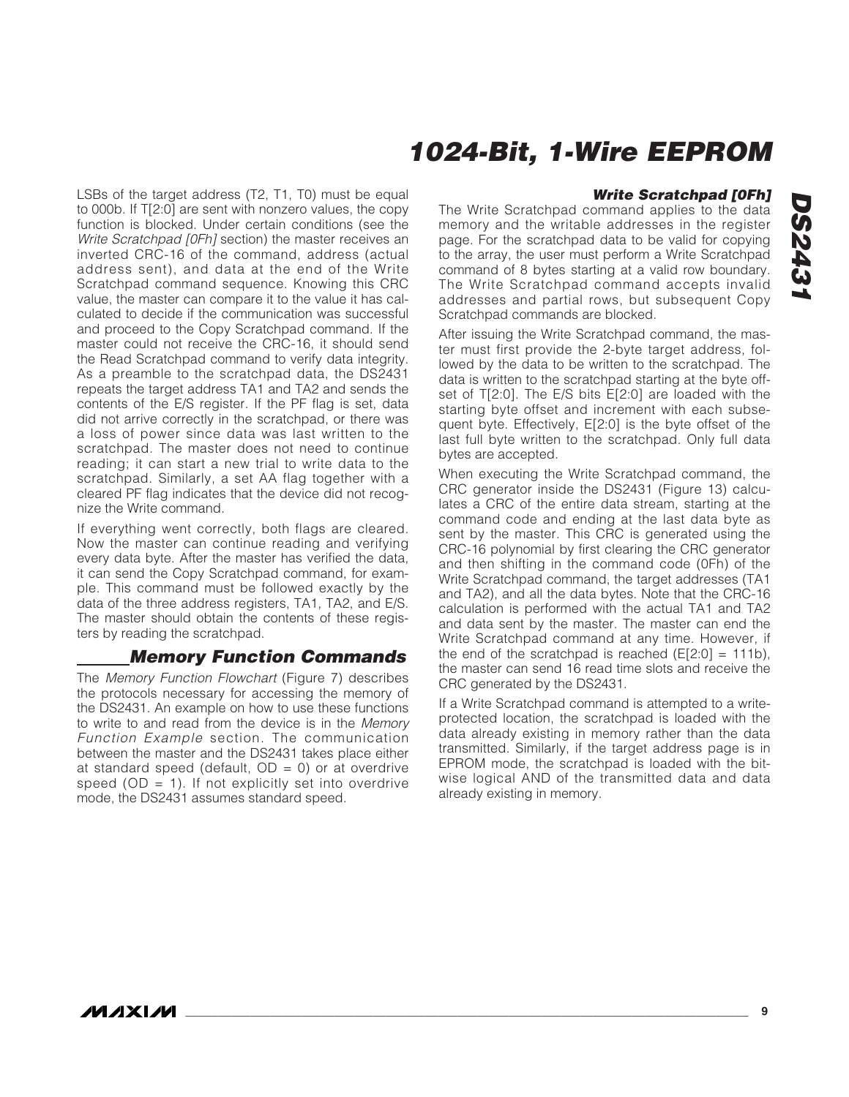LSBs of the target address (T2, T1, T0) must be equal to 000b. If T[2:0] are sent with nonzero values, the copy function is blocked. Under certain conditions (see the Write Scratchpad [0Fh] section) the master receives an inverted CRC-16 of the command, address (actual address sent), and data at the end of the Write Scratchpad command sequence. Knowing this CRC value, the master can compare it to the value it has calculated to decide if the communication was successful and proceed to the Copy Scratchpad command. If the master could not receive the CRC-16, it should send the Read Scratchpad command to verify data integrity. As a preamble to the scratchpad data, the DS2431 repeats the target address TA1 and TA2 and sends the contents of the E/S register. If the PF flag is set, data did not arrive correctly in the scratchpad, or there was a loss of power since data was last written to the scratchpad. The master does not need to continue reading; it can start a new trial to write data to the scratchpad. Similarly, a set AA flag together with a cleared PF flag indicates that the device did not recognize the Write command.

If everything went correctly, both flags are cleared. Now the master can continue reading and verifying every data byte. After the master has verified the data, it can send the Copy Scratchpad command, for example. This command must be followed exactly by the data of the three address registers, TA1, TA2, and E/S. The master should obtain the contents of these registers by reading the scratchpad.

### **Memory Function Commands**

The Memory Function Flowchart (Figure 7) describes the protocols necessary for accessing the memory of the DS2431. An example on how to use these functions to write to and read from the device is in the Memory Function Example section. The communication between the master and the DS2431 takes place either at standard speed (default,  $OD = 0$ ) or at overdrive speed ( $OD = 1$ ). If not explicitly set into overdrive mode, the DS2431 assumes standard speed.

#### **Write Scratchpad [0Fh]**

The Write Scratchpad command applies to the data memory and the writable addresses in the register page. For the scratchpad data to be valid for copying to the array, the user must perform a Write Scratchpad command of 8 bytes starting at a valid row boundary. The Write Scratchpad command accepts invalid addresses and partial rows, but subsequent Copy Scratchpad commands are blocked.

After issuing the Write Scratchpad command, the master must first provide the 2-byte target address, followed by the data to be written to the scratchpad. The data is written to the scratchpad starting at the byte offset of T[2:0]. The E/S bits E[2:0] are loaded with the starting byte offset and increment with each subsequent byte. Effectively, E[2:0] is the byte offset of the last full byte written to the scratchpad. Only full data bytes are accepted.

When executing the Write Scratchpad command, the CRC generator inside the DS2431 (Figure 13) calculates a CRC of the entire data stream, starting at the command code and ending at the last data byte as sent by the master. This CRC is generated using the CRC-16 polynomial by first clearing the CRC generator and then shifting in the command code (0Fh) of the Write Scratchpad command, the target addresses (TA1 and TA2), and all the data bytes. Note that the CRC-16 calculation is performed with the actual TA1 and TA2 and data sent by the master. The master can end the Write Scratchpad command at any time. However, if the end of the scratchpad is reached  $(E[2:0] = 111b)$ , the master can send 16 read time slots and receive the CRC generated by the DS2431.

If a Write Scratchpad command is attempted to a writeprotected location, the scratchpad is loaded with the data already existing in memory rather than the data transmitted. Similarly, if the target address page is in EPROM mode, the scratchpad is loaded with the bitwise logical AND of the transmitted data and data already existing in memory.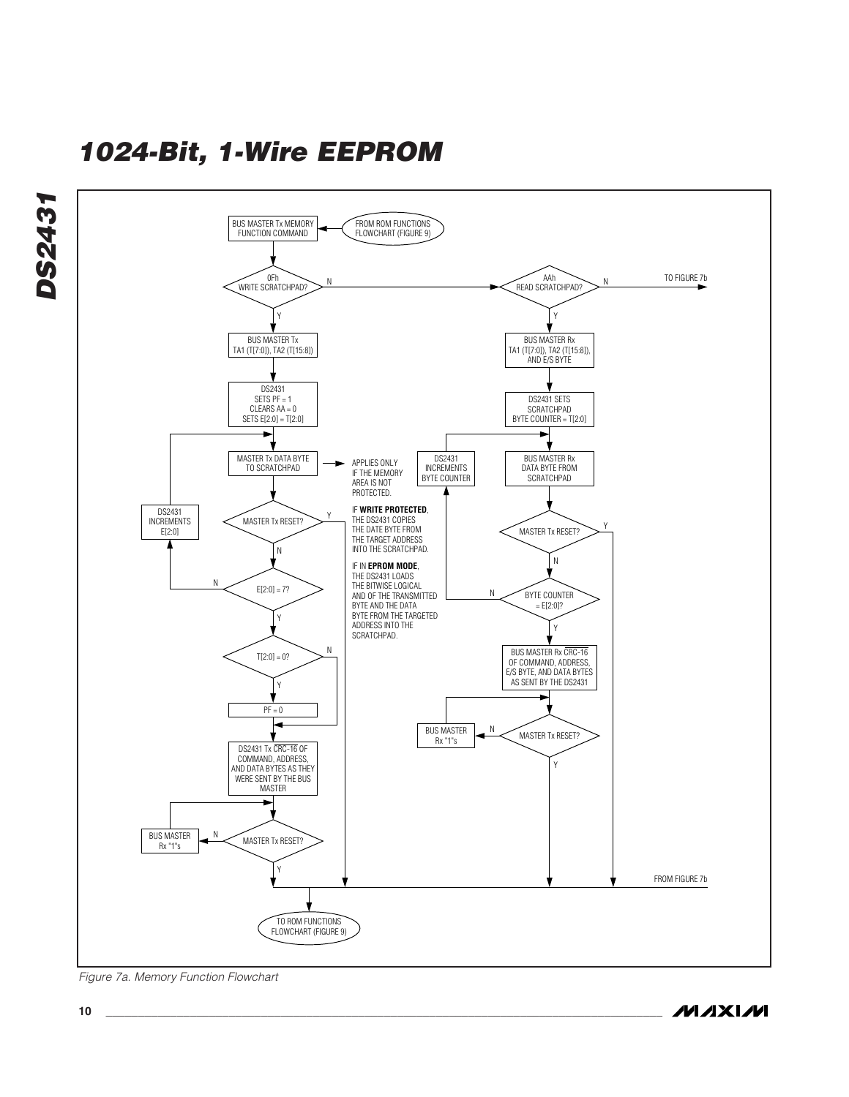

Figure 7a. Memory Function Flowchart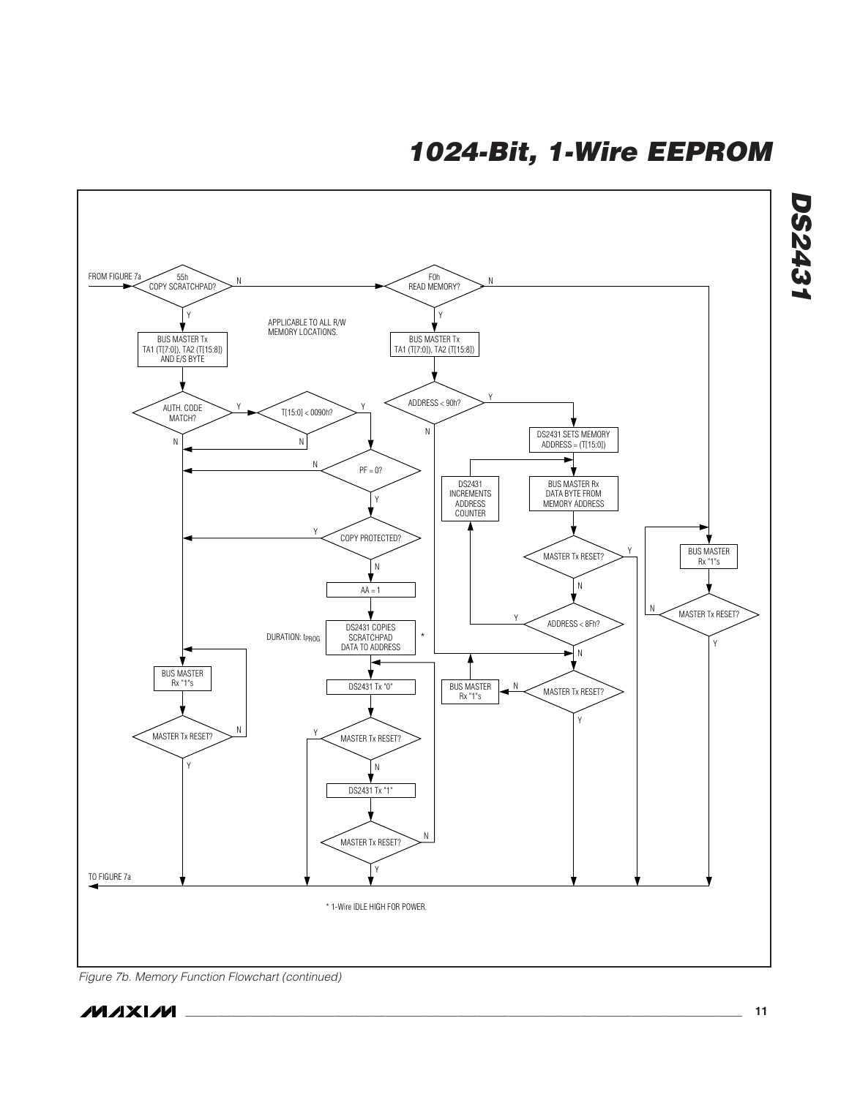![](_page_10_Figure_1.jpeg)

Figure 7b. Memory Function Flowchart (continued)

![](_page_10_Picture_3.jpeg)

**DS2431**

**DS2431**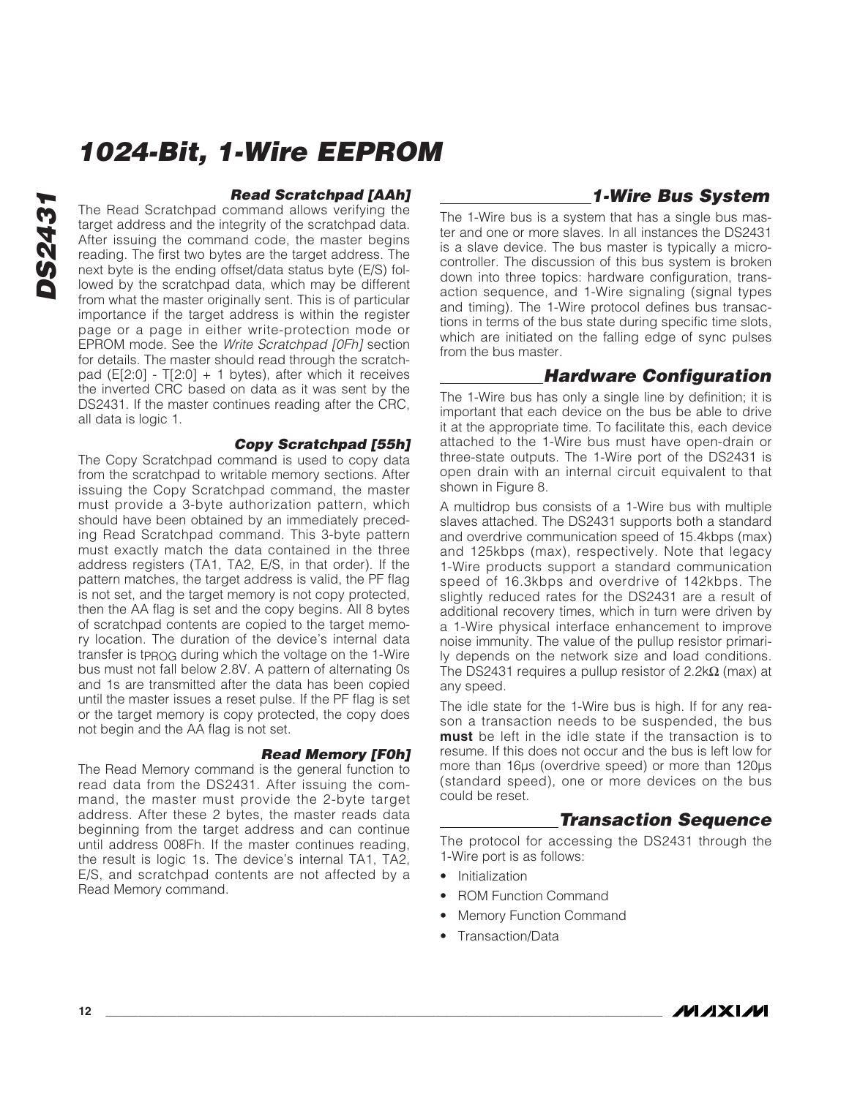#### **Read Scratchpad [AAh]**

The Read Scratchpad command allows verifying the target address and the integrity of the scratchpad data. After issuing the command code, the master begins reading. The first two bytes are the target address. The next byte is the ending offset/data status byte (E/S) followed by the scratchpad data, which may be different from what the master originally sent. This is of particular importance if the target address is within the register page or a page in either write-protection mode or EPROM mode. See the Write Scratchpad [0Fh] section for details. The master should read through the scratchpad ( $E[2:0]$  - T[2:0] + 1 bytes), after which it receives the inverted CRC based on data as it was sent by the DS2431. If the master continues reading after the CRC, all data is logic 1.

#### **Copy Scratchpad [55h]**

The Copy Scratchpad command is used to copy data from the scratchpad to writable memory sections. After issuing the Copy Scratchpad command, the master must provide a 3-byte authorization pattern, which should have been obtained by an immediately preceding Read Scratchpad command. This 3-byte pattern must exactly match the data contained in the three address registers (TA1, TA2, E/S, in that order). If the pattern matches, the target address is valid, the PF flag is not set, and the target memory is not copy protected, then the AA flag is set and the copy begins. All 8 bytes of scratchpad contents are copied to the target memory location. The duration of the device's internal data transfer is tPROG during which the voltage on the 1-Wire bus must not fall below 2.8V. A pattern of alternating 0s and 1s are transmitted after the data has been copied until the master issues a reset pulse. If the PF flag is set or the target memory is copy protected, the copy does not begin and the AA flag is not set.

#### **Read Memory [F0h]**

The Read Memory command is the general function to read data from the DS2431. After issuing the command, the master must provide the 2-byte target address. After these 2 bytes, the master reads data beginning from the target address and can continue until address 008Fh. If the master continues reading, the result is logic 1s. The device's internal TA1, TA2, E/S, and scratchpad contents are not affected by a Read Memory command.

### **1-Wire Bus System**

The 1-Wire bus is a system that has a single bus master and one or more slaves. In all instances the DS2431 is a slave device. The bus master is typically a microcontroller. The discussion of this bus system is broken down into three topics: hardware configuration, transaction sequence, and 1-Wire signaling (signal types and timing). The 1-Wire protocol defines bus transactions in terms of the bus state during specific time slots, which are initiated on the falling edge of sync pulses from the bus master.

### **Hardware Configuration**

The 1-Wire bus has only a single line by definition; it is important that each device on the bus be able to drive it at the appropriate time. To facilitate this, each device attached to the 1-Wire bus must have open-drain or three-state outputs. The 1-Wire port of the DS2431 is open drain with an internal circuit equivalent to that shown in Figure 8.

A multidrop bus consists of a 1-Wire bus with multiple slaves attached. The DS2431 supports both a standard and overdrive communication speed of 15.4kbps (max) and 125kbps (max), respectively. Note that legacy 1-Wire products support a standard communication speed of 16.3kbps and overdrive of 142kbps. The slightly reduced rates for the DS2431 are a result of additional recovery times, which in turn were driven by a 1-Wire physical interface enhancement to improve noise immunity. The value of the pullup resistor primarily depends on the network size and load conditions. The DS2431 requires a pullup resistor of 2.2k $\Omega$  (max) at any speed.

The idle state for the 1-Wire bus is high. If for any reason a transaction needs to be suspended, the bus **must** be left in the idle state if the transaction is to resume. If this does not occur and the bus is left low for more than 16 $\mu$ s (overdrive speed) or more than 120 $\mu$ s (standard speed), one or more devices on the bus could be reset.

### **Transaction Sequence**

The protocol for accessing the DS2431 through the 1-Wire port is as follows:

- Initialization
- ROM Function Command
- Memory Function Command
- Transaction/Data

![](_page_11_Picture_20.jpeg)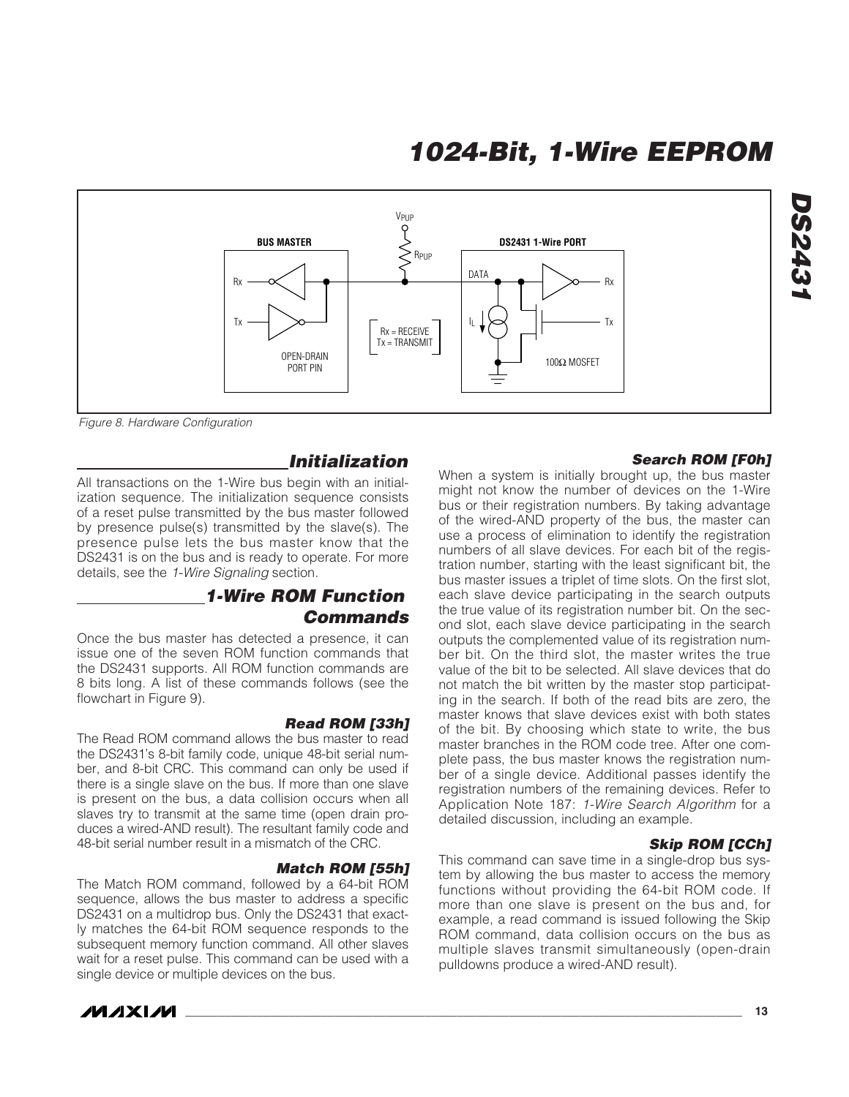![](_page_12_Figure_1.jpeg)

Figure 8. Hardware Configuration

#### **Initialization**

All transactions on the 1-Wire bus begin with an initialization sequence. The initialization sequence consists of a reset pulse transmitted by the bus master followed by presence pulse(s) transmitted by the slave(s). The presence pulse lets the bus master know that the DS2431 is on the bus and is ready to operate. For more details, see the 1-Wire Signaling section.

### **1-Wire ROM Function Commands**

Once the bus master has detected a presence, it can issue one of the seven ROM function commands that the DS2431 supports. All ROM function commands are 8 bits long. A list of these commands follows (see the flowchart in Figure 9).

#### **Read ROM [33h]**

The Read ROM command allows the bus master to read the DS2431's 8-bit family code, unique 48-bit serial number, and 8-bit CRC. This command can only be used if there is a single slave on the bus. If more than one slave is present on the bus, a data collision occurs when all slaves try to transmit at the same time (open drain produces a wired-AND result). The resultant family code and 48-bit serial number result in a mismatch of the CRC.

#### **Match ROM [55h]**

The Match ROM command, followed by a 64-bit ROM sequence, allows the bus master to address a specific DS2431 on a multidrop bus. Only the DS2431 that exactly matches the 64-bit ROM sequence responds to the subsequent memory function command. All other slaves wait for a reset pulse. This command can be used with a single device or multiple devices on the bus.

![](_page_12_Picture_11.jpeg)

#### **Search ROM [F0h]**

**DS2431**

**DS243** 

When a system is initially brought up, the bus master might not know the number of devices on the 1-Wire bus or their registration numbers. By taking advantage of the wired-AND property of the bus, the master can use a process of elimination to identify the registration numbers of all slave devices. For each bit of the registration number, starting with the least significant bit, the bus master issues a triplet of time slots. On the first slot, each slave device participating in the search outputs the true value of its registration number bit. On the second slot, each slave device participating in the search outputs the complemented value of its registration number bit. On the third slot, the master writes the true value of the bit to be selected. All slave devices that do not match the bit written by the master stop participating in the search. If both of the read bits are zero, the master knows that slave devices exist with both states of the bit. By choosing which state to write, the bus master branches in the ROM code tree. After one complete pass, the bus master knows the registration number of a single device. Additional passes identify the registration numbers of the remaining devices. Refer to Application Note 187: 1-Wire Search Algorithm for a detailed discussion, including an example.

#### **Skip ROM [CCh]**

This command can save time in a single-drop bus system by allowing the bus master to access the memory functions without providing the 64-bit ROM code. If more than one slave is present on the bus and, for example, a read command is issued following the Skip ROM command, data collision occurs on the bus as multiple slaves transmit simultaneously (open-drain pulldowns produce a wired-AND result).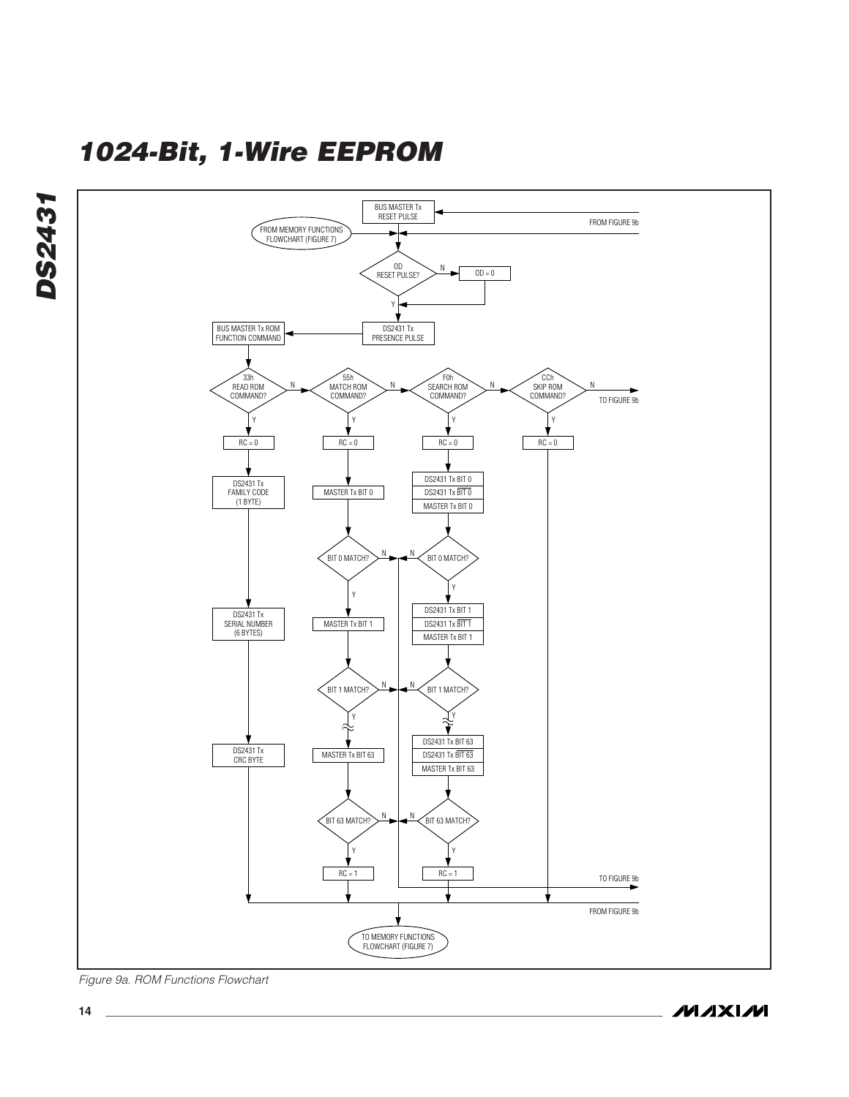![](_page_13_Figure_1.jpeg)

Figure 9a. ROM Functions Flowchart

![](_page_13_Picture_3.jpeg)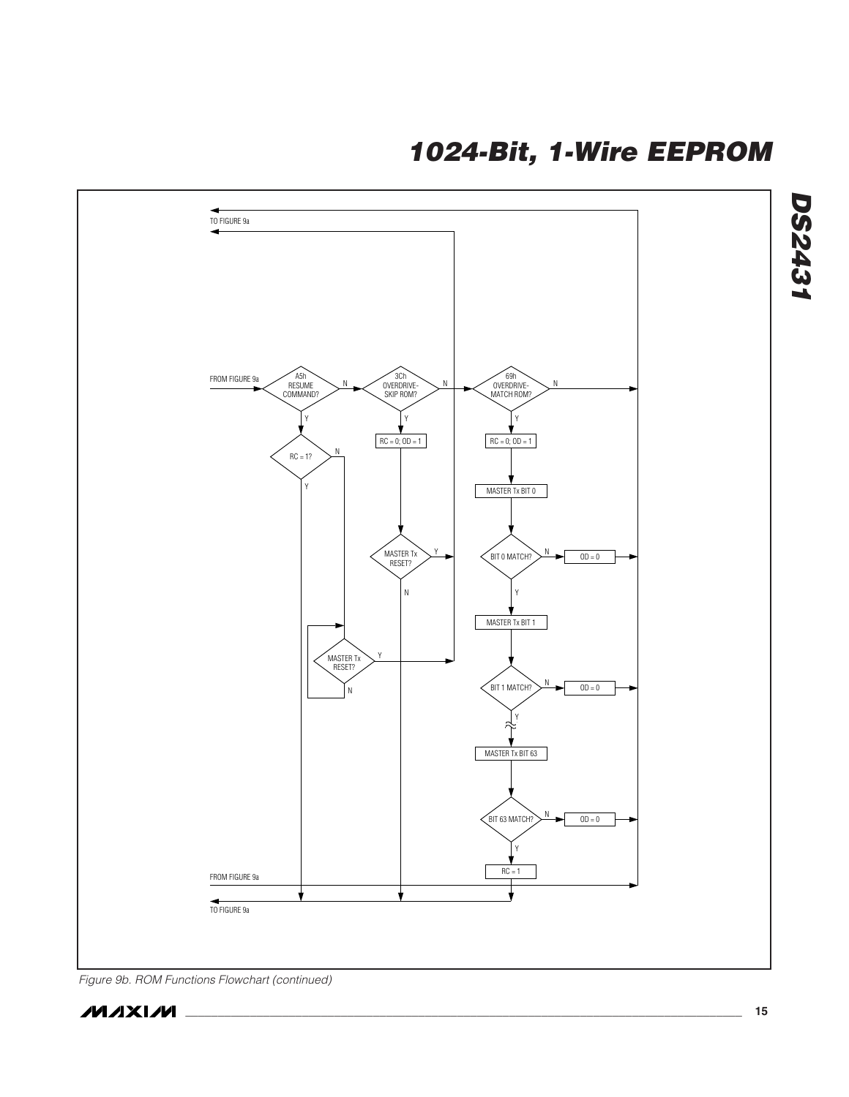![](_page_14_Figure_1.jpeg)

Figure 9b. ROM Functions Flowchart (continued)

**DS2431**

**DS2431**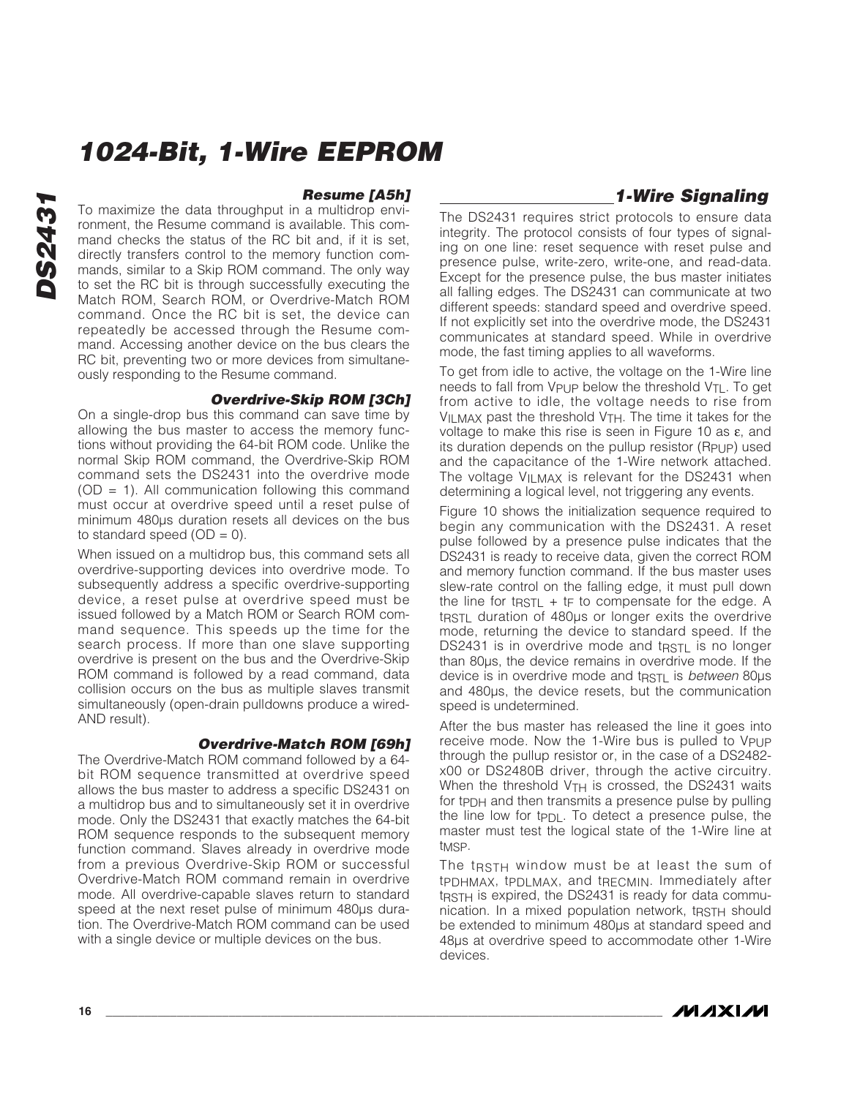#### **Resume [A5h]**

To maximize the data throughput in a multidrop environment, the Resume command is available. This command checks the status of the RC bit and, if it is set, directly transfers control to the memory function commands, similar to a Skip ROM command. The only way to set the RC bit is through successfully executing the Match ROM, Search ROM, or Overdrive-Match ROM command. Once the RC bit is set, the device can repeatedly be accessed through the Resume command. Accessing another device on the bus clears the RC bit, preventing two or more devices from simultaneously responding to the Resume command.

#### **Overdrive-Skip ROM [3Ch]**

On a single-drop bus this command can save time by allowing the bus master to access the memory functions without providing the 64-bit ROM code. Unlike the normal Skip ROM command, the Overdrive-Skip ROM command sets the DS2431 into the overdrive mode  $(OD = 1)$ . All communication following this command must occur at overdrive speed until a reset pulse of minimum 480µs duration resets all devices on the bus to standard speed  $(OD = 0)$ .

When issued on a multidrop bus, this command sets all overdrive-supporting devices into overdrive mode. To subsequently address a specific overdrive-supporting device, a reset pulse at overdrive speed must be issued followed by a Match ROM or Search ROM command sequence. This speeds up the time for the search process. If more than one slave supporting overdrive is present on the bus and the Overdrive-Skip ROM command is followed by a read command, data collision occurs on the bus as multiple slaves transmit simultaneously (open-drain pulldowns produce a wired-AND result).

#### **Overdrive-Match ROM [69h]**

The Overdrive-Match ROM command followed by a 64 bit ROM sequence transmitted at overdrive speed allows the bus master to address a specific DS2431 on a multidrop bus and to simultaneously set it in overdrive mode. Only the DS2431 that exactly matches the 64-bit ROM sequence responds to the subsequent memory function command. Slaves already in overdrive mode from a previous Overdrive-Skip ROM or successful Overdrive-Match ROM command remain in overdrive mode. All overdrive-capable slaves return to standard speed at the next reset pulse of minimum 480µs duration. The Overdrive-Match ROM command can be used with a single device or multiple devices on the bus.

### **1-Wire Signaling**

The DS2431 requires strict protocols to ensure data integrity. The protocol consists of four types of signaling on one line: reset sequence with reset pulse and presence pulse, write-zero, write-one, and read-data. Except for the presence pulse, the bus master initiates all falling edges. The DS2431 can communicate at two different speeds: standard speed and overdrive speed. If not explicitly set into the overdrive mode, the DS2431 communicates at standard speed. While in overdrive mode, the fast timing applies to all waveforms.

To get from idle to active, the voltage on the 1-Wire line needs to fall from V<sub>PUP</sub> below the threshold V<sub>TL</sub>. To get from active to idle, the voltage needs to rise from  $V_{II}$  MAX past the threshold  $V_{TH}$ . The time it takes for the voltage to make this rise is seen in Figure 10 as ε, and its duration depends on the pullup resistor (RPUP) used and the capacitance of the 1-Wire network attached. The voltage V<sub>ILMAX</sub> is relevant for the DS2431 when determining a logical level, not triggering any events.

Figure 10 shows the initialization sequence required to begin any communication with the DS2431. A reset pulse followed by a presence pulse indicates that the DS2431 is ready to receive data, given the correct ROM and memory function command. If the bus master uses slew-rate control on the falling edge, it must pull down the line for t $RSTL + tF$  to compensate for the edge. A t<sub>RSTL</sub> duration of 480µs or longer exits the overdrive mode, returning the device to standard speed. If the DS2431 is in overdrive mode and tRSTL is no longer than 80µs, the device remains in overdrive mode. If the device is in overdrive mode and tracture is between 80us and 480µs, the device resets, but the communication speed is undetermined.

After the bus master has released the line it goes into receive mode. Now the 1-Wire bus is pulled to V<sub>PUP</sub> through the pullup resistor or, in the case of a DS2482 x00 or DS2480B driver, through the active circuitry. When the threshold V<sub>TH</sub> is crossed, the DS2431 waits for tPDH and then transmits a presence pulse by pulling the line low for t $PDL$ . To detect a presence pulse, the master must test the logical state of the 1-Wire line at t<sub>MSP</sub>.

The t<sub>RSTH</sub> window must be at least the sum of tPDHMAX, tPDLMAX, and tRECMIN. Immediately after tract is expired, the DS2431 is ready for data communication. In a mixed population network, tRSTH should be extended to minimum 480µs at standard speed and 48µs at overdrive speed to accommodate other 1-Wire devices.

![](_page_15_Picture_15.jpeg)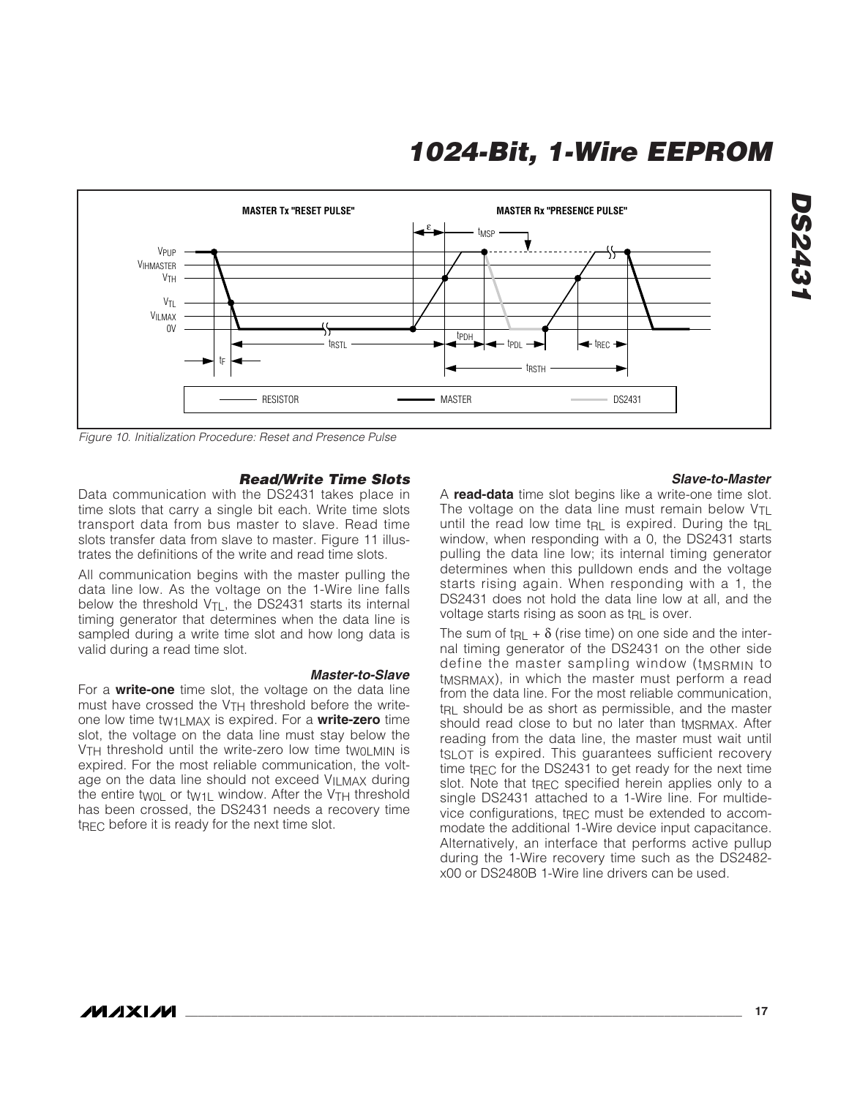![](_page_16_Figure_1.jpeg)

Figure 10. Initialization Procedure: Reset and Presence Pulse

#### **Read/Write Time Slots**

**Master-to-Slave**

Data communication with the DS2431 takes place in time slots that carry a single bit each. Write time slots transport data from bus master to slave. Read time slots transfer data from slave to master. Figure 11 illustrates the definitions of the write and read time slots.

All communication begins with the master pulling the data line low. As the voltage on the 1-Wire line falls below the threshold  $V_{TL}$ , the DS2431 starts its internal timing generator that determines when the data line is sampled during a write time slot and how long data is valid during a read time slot.

For a **write-one** time slot, the voltage on the data line must have crossed the  $V<sub>TH</sub>$  threshold before the writeone low time tW1LMAX is expired. For a **write-zero** time slot, the voltage on the data line must stay below the  $V<sub>TH</sub>$  threshold until the write-zero low time two  $M<sub>II</sub>$  is expired. For the most reliable communication, the voltage on the data line should not exceed VILMAX during the entire twoL or tw<sub>1</sub>L window. After the V<sub>TH</sub> threshold has been crossed, the DS2431 needs a recovery time  $t_{\text{RFC}}$  before it is ready for the next time slot.

#### **Slave-to-Master**

**DS2431**

**DS243** 

A **read-data** time slot begins like a write-one time slot. The voltage on the data line must remain below  $V_{TL}$ until the read low time t<sub>RL</sub> is expired. During the t<sub>RL</sub> window, when responding with a 0, the DS2431 starts pulling the data line low; its internal timing generator determines when this pulldown ends and the voltage starts rising again. When responding with a 1, the DS2431 does not hold the data line low at all, and the voltage starts rising as soon as tRL is over.

The sum of t<sub>RL</sub> +  $\delta$  (rise time) on one side and the internal timing generator of the DS2431 on the other side define the master sampling window (tMSRMIN to t<sub>MSRMAX</sub>), in which the master must perform a read from the data line. For the most reliable communication, t<sub>RL</sub> should be as short as permissible, and the master should read close to but no later than tMSRMAX. After reading from the data line, the master must wait until tSLOT is expired. This guarantees sufficient recovery time t $_{\text{REC}}$  for the DS2431 to get ready for the next time slot. Note that tREC specified herein applies only to a single DS2431 attached to a 1-Wire line. For multidevice configurations, tREC must be extended to accommodate the additional 1-Wire device input capacitance. Alternatively, an interface that performs active pullup during the 1-Wire recovery time such as the DS2482 x00 or DS2480B 1-Wire line drivers can be used.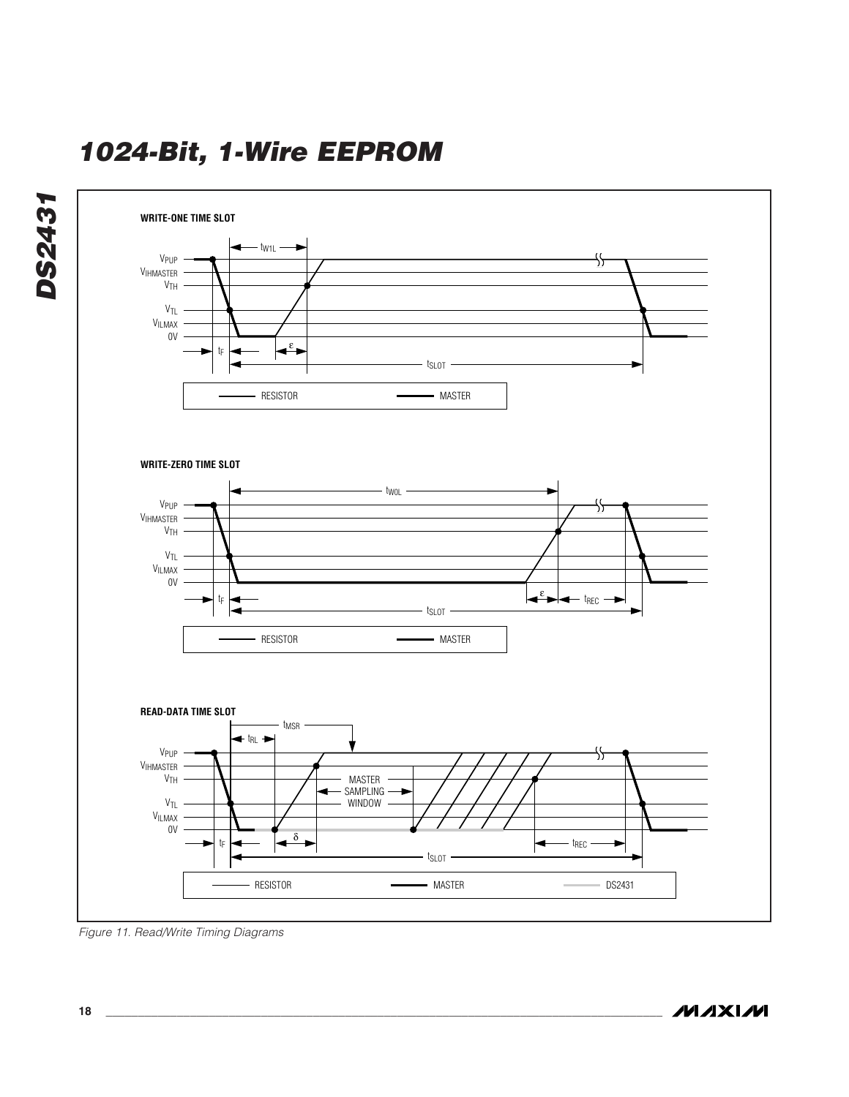![](_page_17_Figure_1.jpeg)

Figure 11. Read/Write Timing Diagrams

**MAXIM**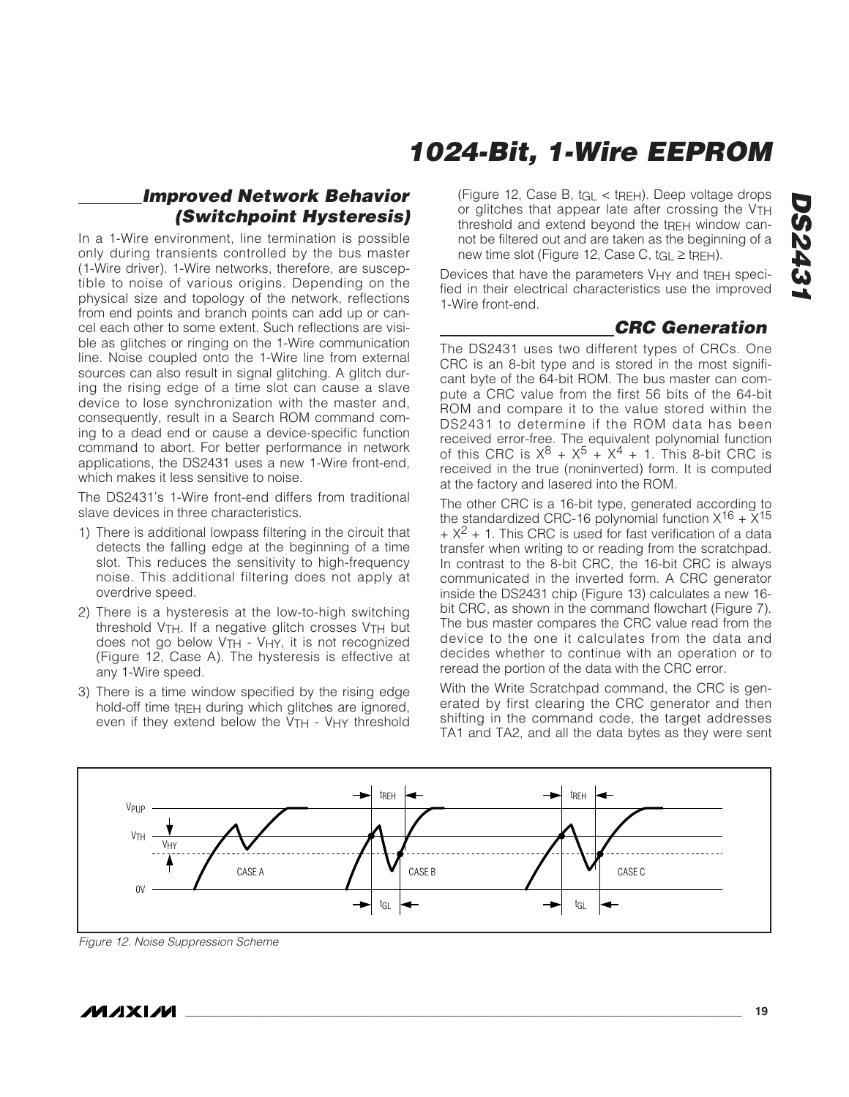### **Improved Network Behavior (Switchpoint Hysteresis)**

In a 1-Wire environment, line termination is possible only during transients controlled by the bus master (1-Wire driver). 1-Wire networks, therefore, are susceptible to noise of various origins. Depending on the physical size and topology of the network, reflections from end points and branch points can add up or cancel each other to some extent. Such reflections are visible as glitches or ringing on the 1-Wire communication line. Noise coupled onto the 1-Wire line from external sources can also result in signal glitching. A glitch during the rising edge of a time slot can cause a slave device to lose synchronization with the master and, consequently, result in a Search ROM command coming to a dead end or cause a device-specific function command to abort. For better performance in network applications, the DS2431 uses a new 1-Wire front-end, which makes it less sensitive to noise.

The DS2431's 1-Wire front-end differs from traditional slave devices in three characteristics.

- 1) There is additional lowpass filtering in the circuit that detects the falling edge at the beginning of a time slot. This reduces the sensitivity to high-frequency noise. This additional filtering does not apply at overdrive speed.
- 2) There is a hysteresis at the low-to-high switching threshold V<sub>TH</sub>. If a negative glitch crosses V<sub>TH</sub> but does not go below V<sub>TH</sub> - V<sub>HY</sub>, it is not recognized (Figure 12, Case A). The hysteresis is effective at any 1-Wire speed.
- 3) There is a time window specified by the rising edge hold-off time tREH during which glitches are ignored, even if they extend below the V<sub>TH</sub> - V<sub>HY</sub> threshold

(Figure 12, Case B, tGL < tREH). Deep voltage drops or glitches that appear late after crossing the VTH threshold and extend beyond the tREH window cannot be filtered out and are taken as the beginning of a new time slot (Figure 12, Case C,  $t_{\text{GI}} \ge \text{t}_{\text{RFH}}$ ).

Devices that have the parameters VHY and tRFH specified in their electrical characteristics use the improved 1-Wire front-end.

### **CRC Generation**

The DS2431 uses two different types of CRCs. One CRC is an 8-bit type and is stored in the most significant byte of the 64-bit ROM. The bus master can compute a CRC value from the first 56 bits of the 64-bit ROM and compare it to the value stored within the DS2431 to determine if the ROM data has been received error-free. The equivalent polynomial function of this CRC is  $X^8 + X^5 + X^4 + 1$ . This 8-bit CRC is received in the true (noninverted) form. It is computed at the factory and lasered into the ROM.

The other CRC is a 16-bit type, generated according to the standardized CRC-16 polynomial function  $X^{16} + X^{15}$  $+ X<sup>2</sup> + 1$ . This CRC is used for fast verification of a data transfer when writing to or reading from the scratchpad. In contrast to the 8-bit CRC, the 16-bit CRC is always communicated in the inverted form. A CRC generator inside the DS2431 chip (Figure 13) calculates a new 16 bit CRC, as shown in the command flowchart (Figure 7). The bus master compares the CRC value read from the device to the one it calculates from the data and decides whether to continue with an operation or to reread the portion of the data with the CRC error.

With the Write Scratchpad command, the CRC is generated by first clearing the CRC generator and then shifting in the command code, the target addresses TA1 and TA2, and all the data bytes as they were sent

![](_page_18_Figure_13.jpeg)

Figure 12. Noise Suppression Scheme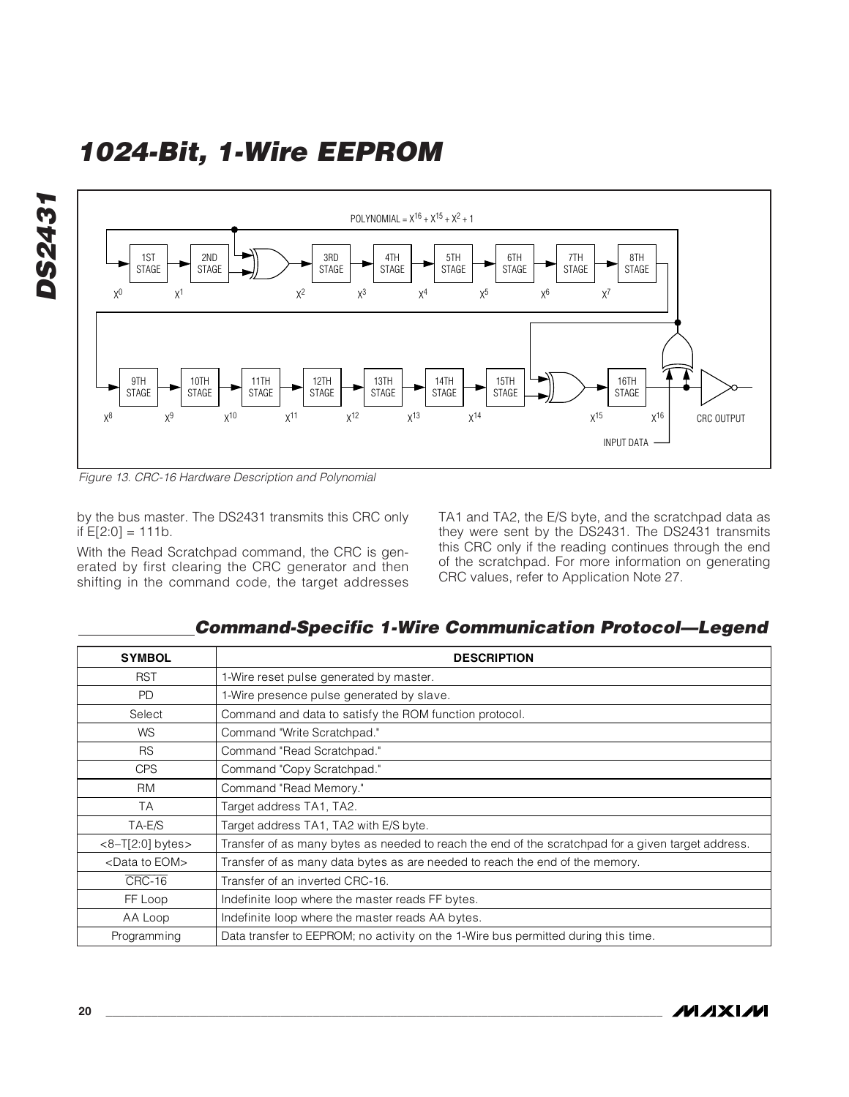![](_page_19_Figure_1.jpeg)

Figure 13. CRC-16 Hardware Description and Polynomial

by the bus master. The DS2431 transmits this CRC only if  $E[2:0] = 111b$ .

With the Read Scratchpad command, the CRC is generated by first clearing the CRC generator and then shifting in the command code, the target addresses TA1 and TA2, the E/S byte, and the scratchpad data as they were sent by the DS2431. The DS2431 transmits this CRC only if the reading continues through the end of the scratchpad. For more information on generating CRC values, refer to Application Note 27.

**Command-Specific 1-Wire Communication Protocol—Legend**

| <b>SYMBOL</b>              | <b>DESCRIPTION</b>                                                                                 |
|----------------------------|----------------------------------------------------------------------------------------------------|
| <b>RST</b>                 | 1-Wire reset pulse generated by master.                                                            |
| <b>PD</b>                  | 1-Wire presence pulse generated by slave.                                                          |
| Select                     | Command and data to satisfy the ROM function protocol.                                             |
| <b>WS</b>                  | Command "Write Scratchpad."                                                                        |
| <b>RS</b>                  | Command "Read Scratchpad."                                                                         |
| <b>CPS</b>                 | Command "Copy Scratchpad."                                                                         |
| <b>RM</b>                  | Command "Read Memory."                                                                             |
| TA                         | Target address TA1, TA2.                                                                           |
| TA-E/S                     | Target address TA1, TA2 with E/S byte.                                                             |
| $<8-T[2:0]$ bytes >        | Transfer of as many bytes as needed to reach the end of the scratchpad for a given target address. |
| <data eom="" to=""></data> | Transfer of as many data bytes as are needed to reach the end of the memory.                       |
| CRC-16                     | Transfer of an inverted CRC-16.                                                                    |
| FF Loop                    | Indefinite loop where the master reads FF bytes.                                                   |
| AA Loop                    | Indefinite loop where the master reads AA bytes.                                                   |
| Programming                | Data transfer to EEPROM; no activity on the 1-Wire bus permitted during this time.                 |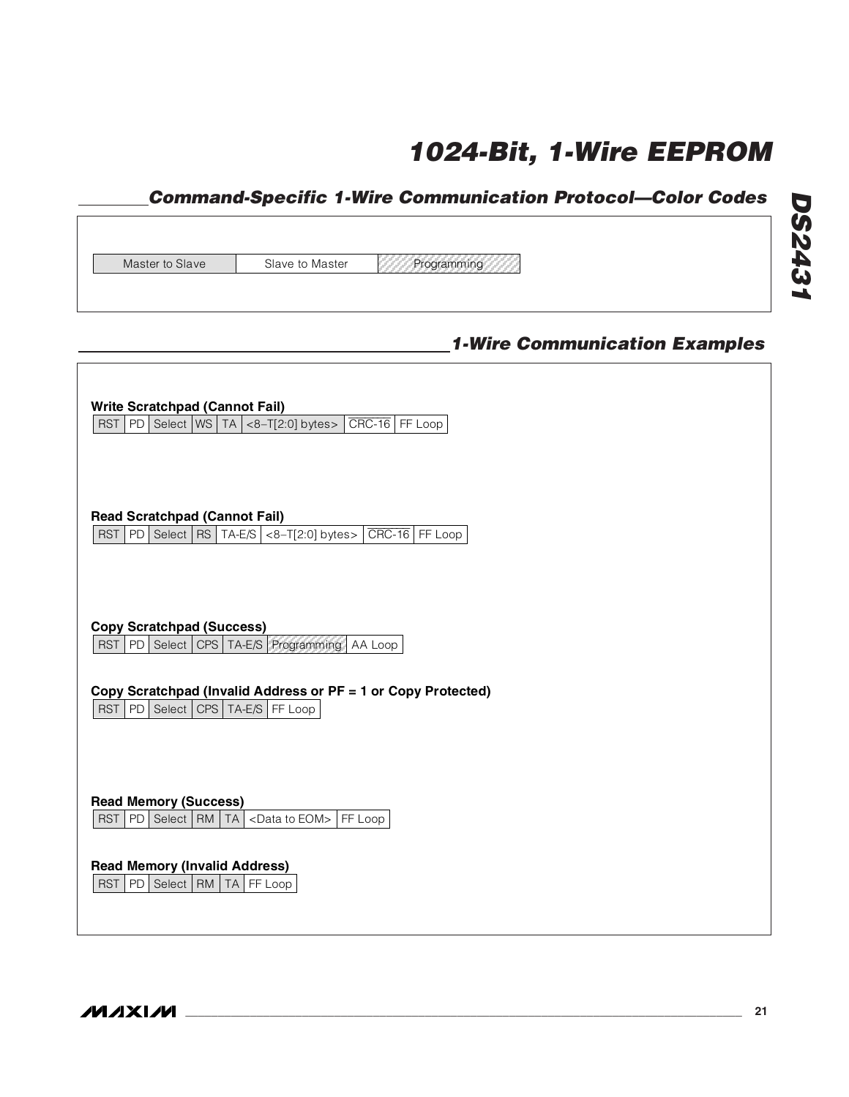## **Command-Specific 1-Wire Communication Protocol—Color Codes**

| Master to Slave | Slave to Master |
|-----------------|-----------------|

Programming

## **1-Wire Communication Examples**

| <b>Write Scratchpad (Cannot Fail)</b><br>PD Select   WS   TA $\vert$ <8-T[2:0] bytes><br>$CRC-16$ FF Loop<br>RST                                                                                          |  |
|-----------------------------------------------------------------------------------------------------------------------------------------------------------------------------------------------------------|--|
| <b>Read Scratchpad (Cannot Fail)</b><br>$CRC-16$ FF Loop<br>Select   RS   TA-E/S $  <8-$ T[2:0] bytes><br>RST<br>PD                                                                                       |  |
| <b>Copy Scratchpad (Success)</b><br>RST<br>Select   CPS   TA-E/S   Programming  <br>PD<br>AA Loop<br>Copy Scratchpad (Invalid Address or PF = 1 or Copy Protected)<br>RST<br>PD Select CPS TA-E/S FF Loop |  |
| <b>Read Memory (Success)</b><br>RST<br>PD<br>Select   RM<br>FF Loop<br>TA I<br><data eom="" to=""></data>                                                                                                 |  |
| <b>Read Memory (Invalid Address)</b><br>PD<br>RST  <br>Select   RM   TA   FF Loop                                                                                                                         |  |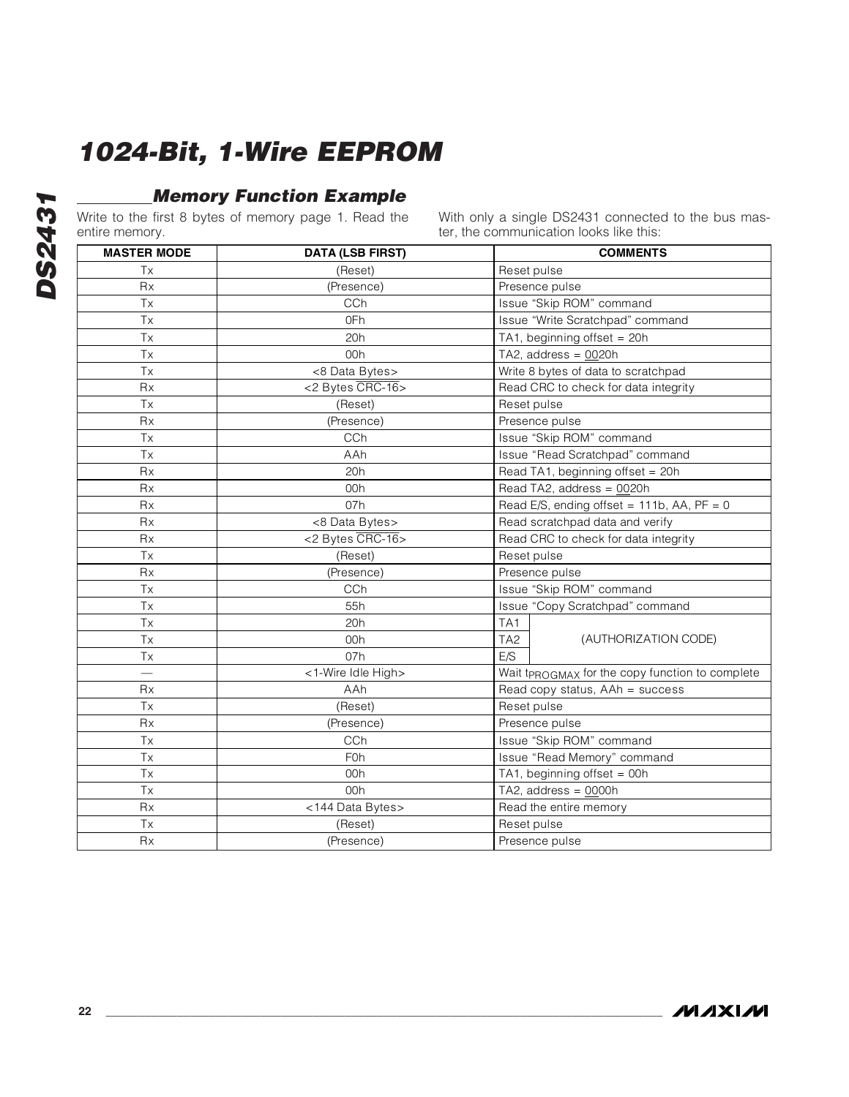## **Memory Function Example**

Write to the first 8 bytes of memory page 1. Read the entire memory.

With only a single DS2431 connected to the bus master, the communication looks like this:

| SHULO HIOHIUI Y.   |                         | ter, the communication looks like this.         |  |  |  |  |
|--------------------|-------------------------|-------------------------------------------------|--|--|--|--|
| <b>MASTER MODE</b> | <b>DATA (LSB FIRST)</b> | <b>COMMENTS</b>                                 |  |  |  |  |
| Tx                 | (Reset)                 | Reset pulse                                     |  |  |  |  |
| <b>Rx</b>          | (Presence)              | Presence pulse                                  |  |  |  |  |
| Tx                 | CCh                     | Issue "Skip ROM" command                        |  |  |  |  |
| <b>Tx</b>          | 0Fh                     | Issue "Write Scratchpad" command                |  |  |  |  |
| Tx                 | 20h                     | TA1, beginning offset = 20h                     |  |  |  |  |
| <b>Tx</b>          | 00h                     | TA2, address = $0020h$                          |  |  |  |  |
| Tx                 | <8 Data Bytes>          | Write 8 bytes of data to scratchpad             |  |  |  |  |
| <b>Rx</b>          | <2 Bytes CRC-16>        | Read CRC to check for data integrity            |  |  |  |  |
| Tx                 | (Reset)                 | Reset pulse                                     |  |  |  |  |
| Rx                 | (Presence)              | Presence pulse                                  |  |  |  |  |
| Tx                 | CCh                     | Issue "Skip ROM" command                        |  |  |  |  |
| <b>Tx</b>          | AAh                     | Issue "Read Scratchpad" command                 |  |  |  |  |
| <b>Rx</b>          | 20h                     | Read TA1, beginning offset = 20h                |  |  |  |  |
| Rx                 | 00h                     | Read TA2, address = 0020h                       |  |  |  |  |
| Rx                 | 07h                     | Read E/S, ending offset = $111b$ , AA, PF = 0   |  |  |  |  |
| <b>Rx</b>          | <8 Data Bytes>          | Read scratchpad data and verify                 |  |  |  |  |
| Rx                 | <2 Bytes CRC-16>        | Read CRC to check for data integrity            |  |  |  |  |
| Tx                 | (Reset)                 | Reset pulse                                     |  |  |  |  |
| <b>Rx</b>          | (Presence)              | Presence pulse                                  |  |  |  |  |
| <b>Tx</b>          | CCh                     | Issue "Skip ROM" command                        |  |  |  |  |
| <b>Tx</b>          | 55h                     | Issue "Copy Scratchpad" command                 |  |  |  |  |
| Tx                 | 20h                     | TA1                                             |  |  |  |  |
| <b>Tx</b>          | 00h                     | TA <sub>2</sub><br>(AUTHORIZATION CODE)         |  |  |  |  |
| Tx                 | 07h                     | E/S                                             |  |  |  |  |
|                    | <1-Wire Idle High>      | Wait tpROGMAX for the copy function to complete |  |  |  |  |
| Rx                 | AAh                     | Read copy status, AAh = success                 |  |  |  |  |
| Tx                 | (Reset)                 | Reset pulse                                     |  |  |  |  |
| Rx                 | (Presence)              | Presence pulse                                  |  |  |  |  |
| Tx                 | CCh                     | Issue "Skip ROM" command                        |  |  |  |  |
| Tx                 | <b>F0h</b>              | Issue "Read Memory" command                     |  |  |  |  |
| Tx                 | 00h                     | TA1, beginning offset = 00h                     |  |  |  |  |
| Tx                 | 00h                     | TA2, address = $0000h$                          |  |  |  |  |
| <b>Rx</b>          | <144 Data Bytes>        | Read the entire memory                          |  |  |  |  |
| Tx                 | (Reset)                 | Reset pulse                                     |  |  |  |  |
| Rx                 | (Presence)              | Presence pulse                                  |  |  |  |  |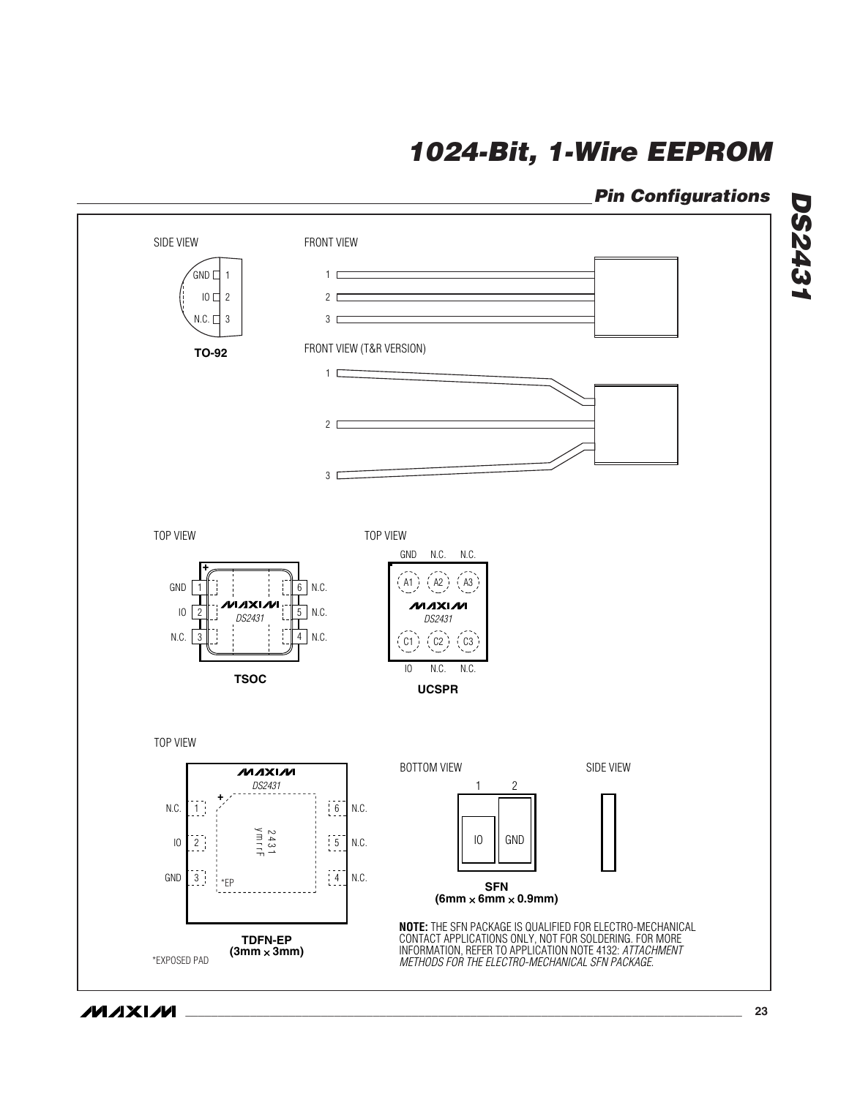## **Pin Configurations**

**DS2431**

**DS2431** 

![](_page_22_Figure_2.jpeg)

**MAXIM**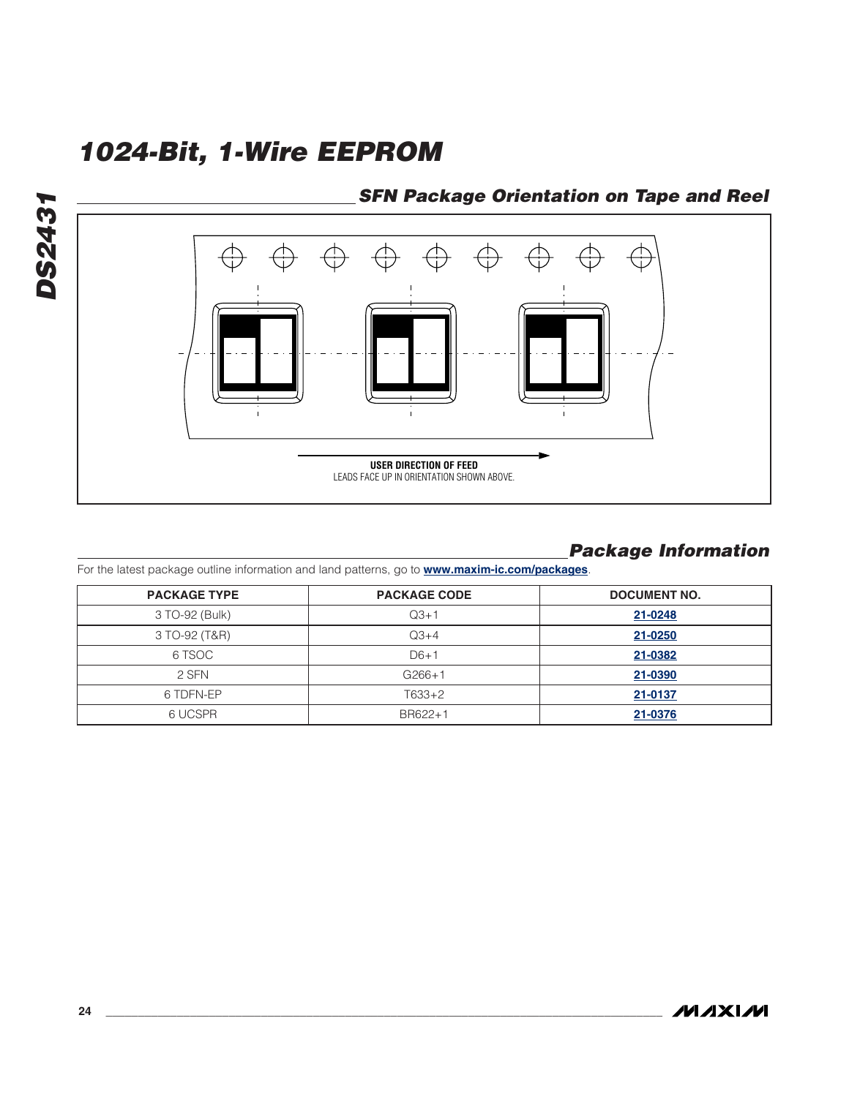### **SFN Package Orientation on Tape and Reel**

![](_page_23_Figure_2.jpeg)

### **Package Information**

For the latest package outline information and land patterns, go to **www.maxim-ic.com/packages**.

| <b>PACKAGE TYPE</b> | <b>PACKAGE CODE</b> | <b>DOCUMENT NO.</b> |  |
|---------------------|---------------------|---------------------|--|
| 3 TO-92 (Bulk)      | $Q3+1$              | 21-0248             |  |
| 3 TO-92 (T&R)       | $Q3+4$              | 21-0250             |  |
| 6 TSOC              | $D6+1$              | 21-0382             |  |
| 2 SFN               | $G266+1$            | 21-0390             |  |
| 6 TDFN-EP           | $T633+2$            | 21-0137             |  |
| 6 UCSPR             | BR622+1             | 21-0376             |  |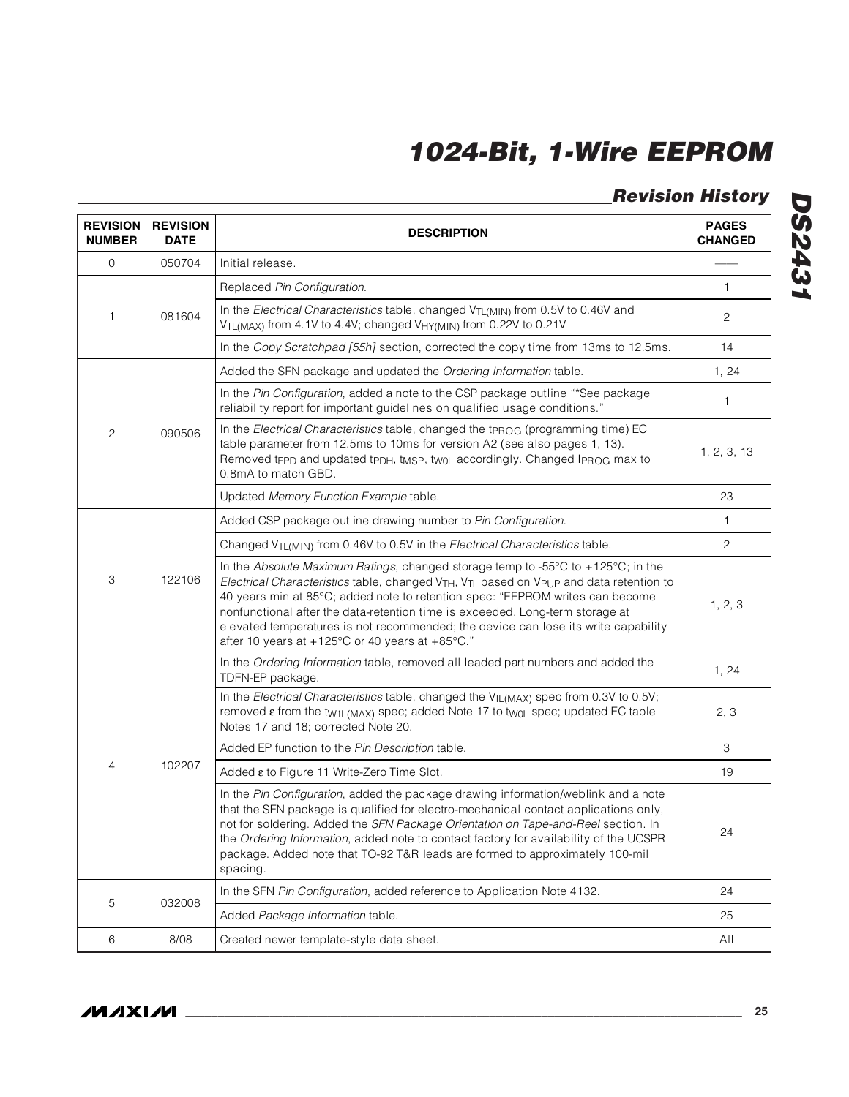## **Revision History**

| <b>REVISION</b><br><b>NUMBER</b> | <b>REVISION</b><br><b>DATE</b> | <b>DESCRIPTION</b>                                                                                                                                                                                                                                                                                                                                                                                                                                                                    |              |
|----------------------------------|--------------------------------|---------------------------------------------------------------------------------------------------------------------------------------------------------------------------------------------------------------------------------------------------------------------------------------------------------------------------------------------------------------------------------------------------------------------------------------------------------------------------------------|--------------|
| $\mathsf{O}$                     | 050704                         | Initial release.                                                                                                                                                                                                                                                                                                                                                                                                                                                                      |              |
|                                  | 081604                         | Replaced Pin Configuration.                                                                                                                                                                                                                                                                                                                                                                                                                                                           | 1            |
| 1                                |                                | In the Electrical Characteristics table, changed V <sub>TL(MIN)</sub> from 0.5V to 0.46V and<br>V <sub>TL(MAX)</sub> from 4.1V to 4.4V; changed V <sub>HY(MIN)</sub> from 0.22V to 0.21V                                                                                                                                                                                                                                                                                              | 2            |
|                                  |                                | In the Copy Scratchpad [55h] section, corrected the copy time from 13ms to 12.5ms.                                                                                                                                                                                                                                                                                                                                                                                                    | 14           |
| 2                                | 090506                         | Added the SFN package and updated the Ordering Information table.                                                                                                                                                                                                                                                                                                                                                                                                                     | 1, 24        |
|                                  |                                | In the Pin Configuration, added a note to the CSP package outline "*See package<br>reliability report for important guidelines on qualified usage conditions."                                                                                                                                                                                                                                                                                                                        | 1            |
|                                  |                                | In the Electrical Characteristics table, changed the tpROG (programming time) EC<br>table parameter from 12.5ms to 10ms for version A2 (see also pages 1, 13).<br>Removed tFPD and updated tPDH, tMSP, twoL accordingly. Changed IPROG max to<br>0.8mA to match GBD.                                                                                                                                                                                                                  | 1, 2, 3, 13  |
|                                  |                                | Updated Memory Function Example table.                                                                                                                                                                                                                                                                                                                                                                                                                                                | 23           |
| 3                                | 122106                         | Added CSP package outline drawing number to Pin Configuration.                                                                                                                                                                                                                                                                                                                                                                                                                        | $\mathbf{1}$ |
|                                  |                                | Changed V <sub>TL(MIN)</sub> from 0.46V to 0.5V in the Electrical Characteristics table.                                                                                                                                                                                                                                                                                                                                                                                              | 2            |
|                                  |                                | In the Absolute Maximum Ratings, changed storage temp to -55°C to +125°C; in the<br>Electrical Characteristics table, changed VTH, VTL based on VPUP and data retention to<br>40 years min at 85°C; added note to retention spec: "EEPROM writes can become<br>nonfunctional after the data-retention time is exceeded. Long-term storage at<br>elevated temperatures is not recommended; the device can lose its write capability<br>after 10 years at +125°C or 40 years at +85°C." | 1, 2, 3      |
|                                  | 102207                         | In the Ordering Information table, removed all leaded part numbers and added the<br>TDFN-EP package.                                                                                                                                                                                                                                                                                                                                                                                  | 1, 24        |
|                                  |                                | In the Electrical Characteristics table, changed the VIL(MAX) spec from 0.3V to 0.5V;<br>removed e from the tw1L(MAX) spec; added Note 17 to twoL spec; updated EC table<br>Notes 17 and 18; corrected Note 20.                                                                                                                                                                                                                                                                       | 2, 3         |
|                                  |                                | Added EP function to the Pin Description table.                                                                                                                                                                                                                                                                                                                                                                                                                                       | З            |
| 4                                |                                | Added ε to Figure 11 Write-Zero Time Slot.                                                                                                                                                                                                                                                                                                                                                                                                                                            | 19           |
|                                  |                                | In the Pin Configuration, added the package drawing information/weblink and a note<br>that the SFN package is qualified for electro-mechanical contact applications only,<br>not for soldering. Added the SFN Package Orientation on Tape-and-Reel section. In<br>the Ordering Information, added note to contact factory for availability of the UCSPR<br>package. Added note that TO-92 T&R leads are formed to approximately 100-mil<br>spacing.                                   | 24           |
| 5                                | 032008                         | In the SFN Pin Configuration, added reference to Application Note 4132.                                                                                                                                                                                                                                                                                                                                                                                                               | 24           |
|                                  |                                | Added Package Information table.                                                                                                                                                                                                                                                                                                                                                                                                                                                      | 25           |
| 6                                | 8/08                           | Created newer template-style data sheet.                                                                                                                                                                                                                                                                                                                                                                                                                                              | All          |